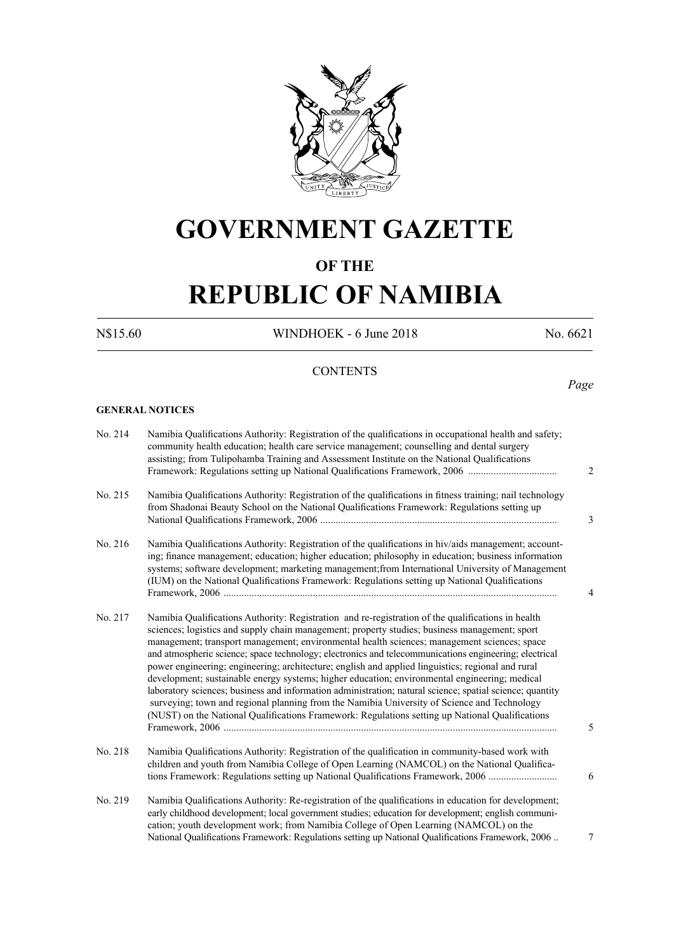

# **GOVERNMENT GAZETTE**

# **OF THE**

# **REPUBLIC OF NAMIBIA**

N\$15.60 WINDHOEK - 6 June 2018 No. 6621

*Page*

# **CONTENTS**

#### **GENERAL NOTICES**

| No. 214 | Namibia Qualifications Authority: Registration of the qualifications in occupational health and safety;<br>community health education; health care service management; counselling and dental surgery<br>assisting; from Tulipohamba Training and Assessment Institute on the National Qualifications<br>$\overline{2}$                                                                                                                                                                                                                                                                                                                                                                                                                                                                                                                                                                                                              |
|---------|--------------------------------------------------------------------------------------------------------------------------------------------------------------------------------------------------------------------------------------------------------------------------------------------------------------------------------------------------------------------------------------------------------------------------------------------------------------------------------------------------------------------------------------------------------------------------------------------------------------------------------------------------------------------------------------------------------------------------------------------------------------------------------------------------------------------------------------------------------------------------------------------------------------------------------------|
| No. 215 | Namibia Qualifications Authority: Registration of the qualifications in fitness training; nail technology<br>from Shadonai Beauty School on the National Qualifications Framework: Regulations setting up<br>3                                                                                                                                                                                                                                                                                                                                                                                                                                                                                                                                                                                                                                                                                                                       |
| No. 216 | Namibia Qualifications Authority: Registration of the qualifications in hiv/aids management; account-<br>ing; finance management; education; higher education; philosophy in education; business information<br>systems; software development; marketing management; from International University of Management<br>(IUM) on the National Qualifications Framework: Regulations setting up National Qualifications<br>4                                                                                                                                                                                                                                                                                                                                                                                                                                                                                                              |
| No. 217 | Namibia Qualifications Authority: Registration and re-registration of the qualifications in health<br>sciences; logistics and supply chain management; property studies; business management; sport<br>management; transport management; environmental health sciences; management sciences; space<br>and atmospheric science; space technology; electronics and telecommunications engineering; electrical<br>power engineering; engineering; architecture; english and applied linguistics; regional and rural<br>development; sustainable energy systems; higher education; environmental engineering; medical<br>laboratory sciences; business and information administration; natural science; spatial science; quantity<br>surveying; town and regional planning from the Namibia University of Science and Technology<br>(NUST) on the National Qualifications Framework: Regulations setting up National Qualifications<br>5 |
| No. 218 | Namibia Qualifications Authority: Registration of the qualification in community-based work with<br>children and youth from Namibia College of Open Learning (NAMCOL) on the National Qualifica-<br>tions Framework: Regulations setting up National Qualifications Framework, 2006<br>6                                                                                                                                                                                                                                                                                                                                                                                                                                                                                                                                                                                                                                             |
| No. 219 | Namibia Qualifications Authority: Re-registration of the qualifications in education for development;<br>early childhood development; local government studies; education for development; english communi-<br>cation; youth development work; from Namibia College of Open Learning (NAMCOL) on the<br>National Qualifications Framework: Regulations setting up National Qualifications Framework, 2006.<br>7                                                                                                                                                                                                                                                                                                                                                                                                                                                                                                                      |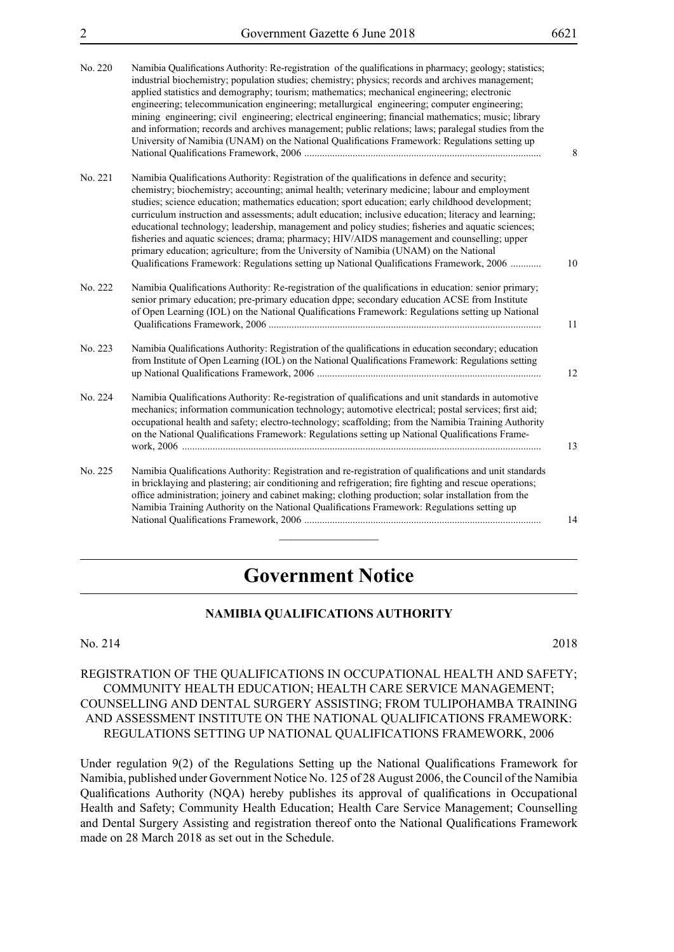| No. 220 | Namibia Qualifications Authority: Re-registration of the qualifications in pharmacy; geology; statistics;<br>industrial biochemistry; population studies; chemistry; physics; records and archives management;<br>applied statistics and demography; tourism; mathematics; mechanical engineering; electronic<br>engineering; telecommunication engineering; metallurgical engineering; computer engineering;<br>mining engineering; civil engineering; electrical engineering; financial mathematics; music; library<br>and information; records and archives management; public relations; laws; paralegal studies from the<br>University of Namibia (UNAM) on the National Qualifications Framework: Regulations setting up                                                                              |
|---------|-------------------------------------------------------------------------------------------------------------------------------------------------------------------------------------------------------------------------------------------------------------------------------------------------------------------------------------------------------------------------------------------------------------------------------------------------------------------------------------------------------------------------------------------------------------------------------------------------------------------------------------------------------------------------------------------------------------------------------------------------------------------------------------------------------------|
| No. 221 | Namibia Qualifications Authority: Registration of the qualifications in defence and security;<br>chemistry; biochemistry; accounting; animal health; veterinary medicine; labour and employment<br>studies; science education; mathematics education; sport education; early childhood development;<br>curriculum instruction and assessments; adult education; inclusive education; literacy and learning;<br>educational technology; leadership, management and policy studies; fisheries and aquatic sciences;<br>fisheries and aquatic sciences; drama; pharmacy; HIV/AIDS management and counselling; upper<br>primary education; agriculture; from the University of Namibia (UNAM) on the National<br>Qualifications Framework: Regulations setting up National Qualifications Framework, 2006<br>10 |
| No. 222 | Namibia Qualifications Authority: Re-registration of the qualifications in education: senior primary;<br>senior primary education; pre-primary education dppe; secondary education ACSE from Institute<br>of Open Learning (IOL) on the National Qualifications Framework: Regulations setting up National<br>11                                                                                                                                                                                                                                                                                                                                                                                                                                                                                            |
| No. 223 | Namibia Qualifications Authority: Registration of the qualifications in education secondary; education<br>from Institute of Open Learning (IOL) on the National Qualifications Framework: Regulations setting<br>12                                                                                                                                                                                                                                                                                                                                                                                                                                                                                                                                                                                         |
| No. 224 | Namibia Qualifications Authority: Re-registration of qualifications and unit standards in automotive<br>mechanics; information communication technology; automotive electrical; postal services; first aid;<br>occupational health and safety; electro-technology; scaffolding; from the Namibia Training Authority<br>on the National Qualifications Framework: Regulations setting up National Qualifications Frame-<br>13                                                                                                                                                                                                                                                                                                                                                                                |
| No. 225 | Namibia Qualifications Authority: Registration and re-registration of qualifications and unit standards<br>in bricklaying and plastering; air conditioning and refrigeration; fire fighting and rescue operations;<br>office administration; joinery and cabinet making; clothing production; solar installation from the<br>Namibia Training Authority on the National Qualifications Framework: Regulations setting up<br>14                                                                                                                                                                                                                                                                                                                                                                              |

# **Government Notice**

# **NAMIBIA QUALIFICATIONS AUTHORITY**

#### No. 214 2018

# REGISTRATION OF THE QUALIFICATIONS IN OCCUPATIONAL HEALTH AND SAFETY; COMMUNITY HEALTH EDUCATION; HEALTH CARE SERVICE MANAGEMENT; COUNSELLING AND DENTAL SURGERY ASSISTING; FROM TULIPOHAMBA TRAINING AND ASSESSMENT INSTITUTE ON THE NATIONAL QUALIFICATIONS FRAMEWORK: REGULATIONS SETTING UP NATIONAL QUALIFICATIONS FRAMEWORK, 2006

Under regulation 9(2) of the Regulations Setting up the National Qualifications Framework for Namibia, published under Government Notice No. 125 of 28 August 2006, the Council of the Namibia Qualifications Authority (NQA) hereby publishes its approval of qualifications in Occupational Health and Safety; Community Health Education; Health Care Service Management; Counselling and Dental Surgery Assisting and registration thereof onto the National Qualifications Framework made on 28 March 2018 as set out in the Schedule.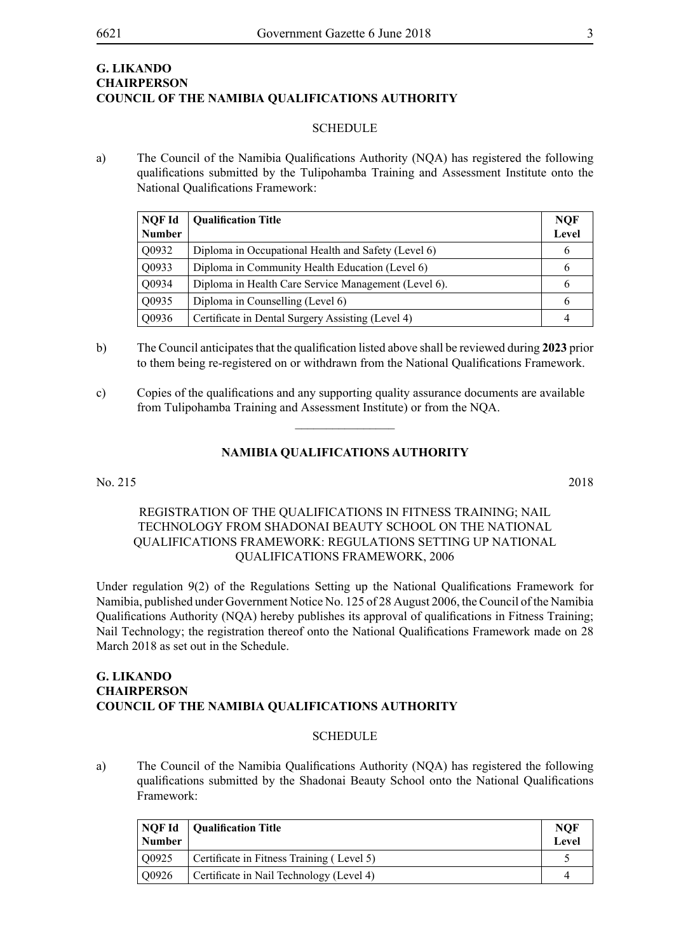# **G. Likando Chairperson COUNCIL OF THE NAMIBIA QUALIFICATIONS AUTHORITY**

#### **SCHEDULE**

a) The Council of the Namibia Qualifications Authority (NQA) has registered the following qualifications submitted by the Tulipohamba Training and Assessment Institute onto the National Qualifications Framework:

| NQF Id<br><b>Number</b> | <b>Qualification Title</b>                           | <b>NQF</b><br>Level |
|-------------------------|------------------------------------------------------|---------------------|
| Q0932                   | Diploma in Occupational Health and Safety (Level 6)  | 6                   |
| Q0933                   | Diploma in Community Health Education (Level 6)      | 6                   |
| Q0934                   | Diploma in Health Care Service Management (Level 6). | 6                   |
| Q0935                   | Diploma in Counselling (Level 6)                     | 6                   |
| Q0936                   | Certificate in Dental Surgery Assisting (Level 4)    | 4                   |

- b) The Council anticipates that the qualification listed above shall be reviewed during **2023** prior to them being re-registered on or withdrawn from the National Qualifications Framework.
- c) Copies of the qualifications and any supporting quality assurance documents are available from Tulipohamba Training and Assessment Institute) or from the NQA.

#### **NAMIBIA QUALIFICATIONS AUTHORITY**

 $\frac{1}{2}$ 

No. 215 2018

# REGISTRATION OF THE QUALIFICATIONS IN FITNESS TRAINING; NAIL TECHNOLOGY FROM SHADONAI BEAUTY SCHOOL ON THE NATIONAL QUALIFICATIONS FRAMEWORK: REGULATIONS SETTING UP NATIONAL QUALIFICATIONS FRAMEWORK, 2006

Under regulation 9(2) of the Regulations Setting up the National Qualifications Framework for Namibia, published under Government Notice No. 125 of 28 August 2006, the Council of the Namibia Qualifications Authority (NQA) hereby publishes its approval of qualifications in Fitness Training; Nail Technology; the registration thereof onto the National Qualifications Framework made on 28 March 2018 as set out in the Schedule.

# **G. Likando Chairperson COUNCIL OF THE NAMIBIA QUALIFICATIONS AUTHORITY**

#### **SCHEDULE**

a) The Council of the Namibia Qualifications Authority (NQA) has registered the following qualifications submitted by the Shadonai Beauty School onto the National Qualifications Framework:

| NQF Id<br><b>Number</b> | Qualification Title                       | <b>NOF</b><br>Level |
|-------------------------|-------------------------------------------|---------------------|
| $\sqrt{0.0925}$         | Certificate in Fitness Training (Level 5) |                     |
| O0926                   | Certificate in Nail Technology (Level 4)  |                     |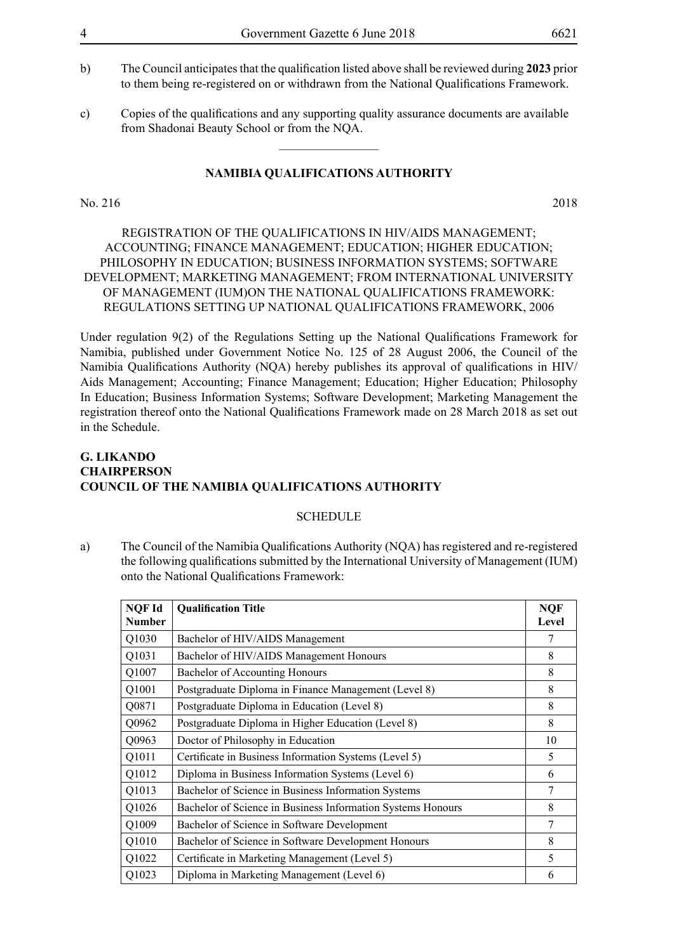- b) The Council anticipates that the qualification listed above shall be reviewed during **2023** prior to them being re-registered on or withdrawn from the National Qualifications Framework.
- c) Copies of the qualifications and any supporting quality assurance documents are available from Shadonai Beauty School or from the NQA.

 $\frac{1}{2}$ 

# **NAMIBIA QUALIFICATIONS AUTHORITY**

#### No. 216 2018

# REGISTRATION OF THE QUALIFICATIONS IN HIV/AIDS MANAGEMENT; ACCOUNTING; FINANCE MANAGEMENT; EDUCATION; HIGHER EDUCATION; PHILOSOPHY IN EDUCATION; BUSINESS INFORMATION SYSTEMS; SOFTWARE DEVELOPMENT; MARKETING MANAGEMENT; FROM INTERNATIONAL UNIVERSITY OF MANAGEMENT (IUM)ON THE NATIONAL QUALIFICATIONS FRAMEWORK: REGULATIONS SETTING UP NATIONAL QUALIFICATIONS FRAMEWORK, 2006

Under regulation 9(2) of the Regulations Setting up the National Qualifications Framework for Namibia, published under Government Notice No. 125 of 28 August 2006, the Council of the Namibia Qualifications Authority (NQA) hereby publishes its approval of qualifications in HIV/ Aids Management; Accounting; Finance Management; Education; Higher Education; Philosophy In Education; Business Information Systems; Software Development; Marketing Management the registration thereof onto the National Qualifications Framework made on 28 March 2018 as set out in the Schedule.

# **G. Likando Chairperson COUNCIL OF THE NAMIBIA QUALIFICATIONS AUTHORITY**

#### **SCHEDULE**

a) The Council of the Namibia Qualifications Authority (NQA) has registered and re-registered the following qualifications submitted by the International University of Management (IUM) onto the National Qualifications Framework:

| <b>NOF Id</b><br><b>Number</b> | <b>Qualification Title</b>                                  | <b>NQF</b><br>Level |
|--------------------------------|-------------------------------------------------------------|---------------------|
| Q1030                          | Bachelor of HIV/AIDS Management                             | 7                   |
| Q1031                          | Bachelor of HIV/AIDS Management Honours                     | 8                   |
| Q1007                          | Bachelor of Accounting Honours                              | 8                   |
| Q1001                          | Postgraduate Diploma in Finance Management (Level 8)        | 8                   |
| Q0871                          | Postgraduate Diploma in Education (Level 8)                 | 8                   |
| Q0962                          | Postgraduate Diploma in Higher Education (Level 8)          | 8                   |
| Q0963                          | Doctor of Philosophy in Education                           | 10                  |
| Q1011                          | Certificate in Business Information Systems (Level 5)       | 5                   |
| Q1012                          | Diploma in Business Information Systems (Level 6)           | 6                   |
| Q1013                          | Bachelor of Science in Business Information Systems         | 7                   |
| Q1026                          | Bachelor of Science in Business Information Systems Honours | 8                   |
| Q1009                          | Bachelor of Science in Software Development                 | 7                   |
| Q1010                          | Bachelor of Science in Software Development Honours         | 8                   |
| Q1022                          | Certificate in Marketing Management (Level 5)               | 5                   |
| Q1023                          | Diploma in Marketing Management (Level 6)                   | 6                   |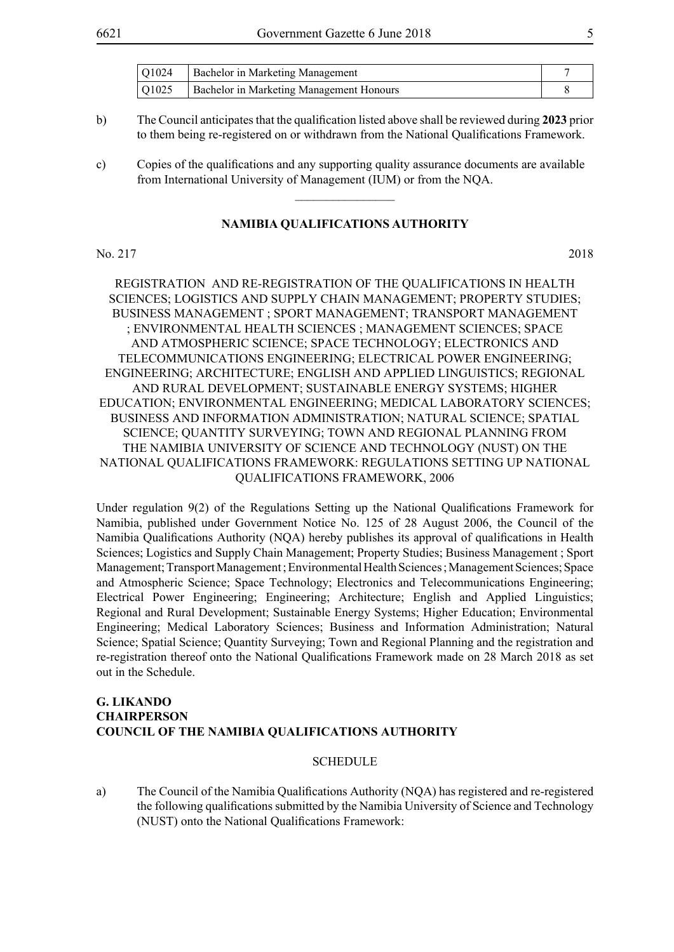| $\sqrt{Q1024}$ | <b>Bachelor in Marketing Management</b>         |  |
|----------------|-------------------------------------------------|--|
| $\sqrt{Q1025}$ | <b>Bachelor in Marketing Management Honours</b> |  |

b) The Council anticipates that the qualification listed above shall be reviewed during **2023** prior to them being re-registered on or withdrawn from the National Qualifications Framework.

c) Copies of the qualifications and any supporting quality assurance documents are available from International University of Management (IUM) or from the NQA.

#### **NAMIBIA QUALIFICATIONS AUTHORITY**

 $\overline{\phantom{a}}$  , where  $\overline{\phantom{a}}$ 

#### No. 217 2018

REGISTRATION AND RE-REGISTRATION OF THE QUALIFICATIONS IN HEALTH SCIENCES; LOGISTICS AND SUPPLY CHAIN MANAGEMENT; PROPERTY STUDIES; BUSINESS MANAGEMENT ; SPORT MANAGEMENT; TRANSPORT MANAGEMENT ; ENVIRONMENTAL HEALTH SCIENCES ; MANAGEMENT SCIENCES; SPACE AND ATMOSPHERIC SCIENCE; SPACE TECHNOLOGY; ELECTRONICS AND TELECOMMUNICATIONS ENGINEERING; ELECTRICAL POWER ENGINEERING; ENGINEERING; ARCHITECTURE; ENGLISH AND APPLIED LINGUISTICS; REGIONAL AND RURAL DEVELOPMENT; SUSTAINABLE ENERGY SYSTEMS; HIGHER EDUCATION; ENVIRONMENTAL ENGINEERING; MEDICAL LABORATORY SCIENCES; BUSINESS AND INFORMATION ADMINISTRATION; NATURAL SCIENCE; SPATIAL SCIENCE; QUANTITY SURVEYING; TOWN AND REGIONAL PLANNING FROM THE NAMIBIA UNIVERSITY OF SCIENCE AND TECHNOLOGY (NUST) ON THE NATIONAL QUALIFICATIONS FRAMEWORK: REGULATIONS SETTING UP NATIONAL QUALIFICATIONS FRAMEWORK, 2006

Under regulation 9(2) of the Regulations Setting up the National Qualifications Framework for Namibia, published under Government Notice No. 125 of 28 August 2006, the Council of the Namibia Qualifications Authority (NQA) hereby publishes its approval of qualifications in Health Sciences; Logistics and Supply Chain Management; Property Studies; Business Management ; Sport Management; Transport Management ; Environmental Health Sciences ; Management Sciences; Space and Atmospheric Science; Space Technology; Electronics and Telecommunications Engineering; Electrical Power Engineering; Engineering; Architecture; English and Applied Linguistics; Regional and Rural Development; Sustainable Energy Systems; Higher Education; Environmental Engineering; Medical Laboratory Sciences; Business and Information Administration; Natural Science; Spatial Science; Quantity Surveying; Town and Regional Planning and the registration and re-registration thereof onto the National Qualifications Framework made on 28 March 2018 as set out in the Schedule.

# **G. Likando Chairperson COUNCIL OF THE NAMIBIA QUALIFICATIONS AUTHORITY**

#### **SCHEDULE**

a) The Council of the Namibia Qualifications Authority (NQA) has registered and re-registered the following qualifications submitted by the Namibia University of Science and Technology (NUST) onto the National Qualifications Framework: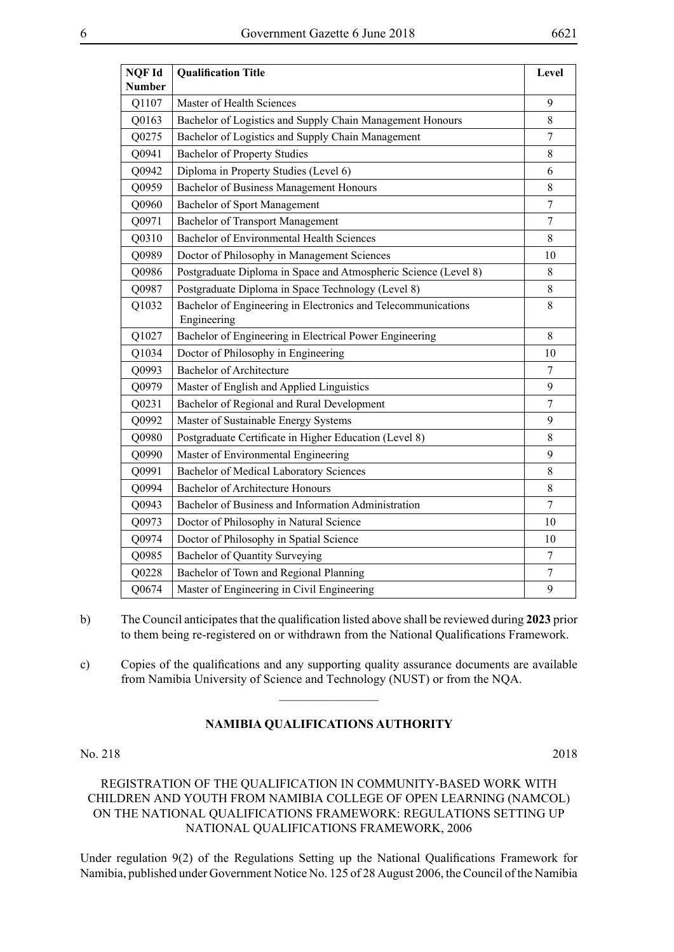| <b>NQF Id</b> | <b>Qualification Title</b>                                                   | Level            |
|---------------|------------------------------------------------------------------------------|------------------|
| <b>Number</b> |                                                                              |                  |
| Q1107         | Master of Health Sciences                                                    | 9                |
| Q0163         | Bachelor of Logistics and Supply Chain Management Honours                    | 8                |
| Q0275         | Bachelor of Logistics and Supply Chain Management                            | $\tau$           |
| Q0941         | <b>Bachelor of Property Studies</b>                                          | 8                |
| Q0942         | Diploma in Property Studies (Level 6)                                        | 6                |
| Q0959         | Bachelor of Business Management Honours                                      | 8                |
| Q0960         | Bachelor of Sport Management                                                 | $\boldsymbol{7}$ |
| Q0971         | Bachelor of Transport Management                                             | 7                |
| Q0310         | <b>Bachelor of Environmental Health Sciences</b>                             | 8                |
| Q0989         | Doctor of Philosophy in Management Sciences                                  | 10               |
| Q0986         | Postgraduate Diploma in Space and Atmospheric Science (Level 8)              | 8                |
| Q0987         | Postgraduate Diploma in Space Technology (Level 8)                           | 8                |
| Q1032         | Bachelor of Engineering in Electronics and Telecommunications<br>Engineering | 8                |
| Q1027         | Bachelor of Engineering in Electrical Power Engineering                      | 8                |
| Q1034         | Doctor of Philosophy in Engineering                                          | 10               |
| Q0993         | <b>Bachelor of Architecture</b>                                              | 7                |
| Q0979         | Master of English and Applied Linguistics                                    | 9                |
| Q0231         | Bachelor of Regional and Rural Development                                   | $\tau$           |
| Q0992         | Master of Sustainable Energy Systems                                         | 9                |
| Q0980         | Postgraduate Certificate in Higher Education (Level 8)                       | 8                |
| Q0990         | Master of Environmental Engineering                                          | 9                |
| Q0991         | <b>Bachelor of Medical Laboratory Sciences</b>                               | 8                |
| Q0994         | <b>Bachelor of Architecture Honours</b>                                      | 8                |
| Q0943         | Bachelor of Business and Information Administration                          | $\overline{7}$   |
| Q0973         | Doctor of Philosophy in Natural Science                                      | 10               |
| Q0974         | Doctor of Philosophy in Spatial Science                                      | 10               |
| Q0985         | <b>Bachelor of Quantity Surveying</b>                                        | $\tau$           |
| Q0228         | Bachelor of Town and Regional Planning                                       | 7                |
| Q0674         | Master of Engineering in Civil Engineering                                   | 9                |

- b) The Council anticipates that the qualification listed above shall be reviewed during **2023** prior to them being re-registered on or withdrawn from the National Qualifications Framework.
- c) Copies of the qualifications and any supporting quality assurance documents are available from Namibia University of Science and Technology (NUST) or from the NQA.

 $\overline{\phantom{a}}$  , where  $\overline{\phantom{a}}$ 

# **NAMIBIA QUALIFICATIONS AUTHORITY**

No. 218 2018

# REGISTRATION OF THE QUALIFICATION IN COMMUNITY-BASED WORK WITH CHILDREN AND YOUTH FROM NAMIBIA COLLEGE OF OPEN LEARNING (NAMCOL) ON THE NATIONAL QUALIFICATIONS FRAMEWORK: REGULATIONS SETTING UP NATIONAL QUALIFICATIONS FRAMEWORK, 2006

Under regulation 9(2) of the Regulations Setting up the National Qualifications Framework for Namibia, published under Government Notice No. 125 of 28 August 2006, the Council of the Namibia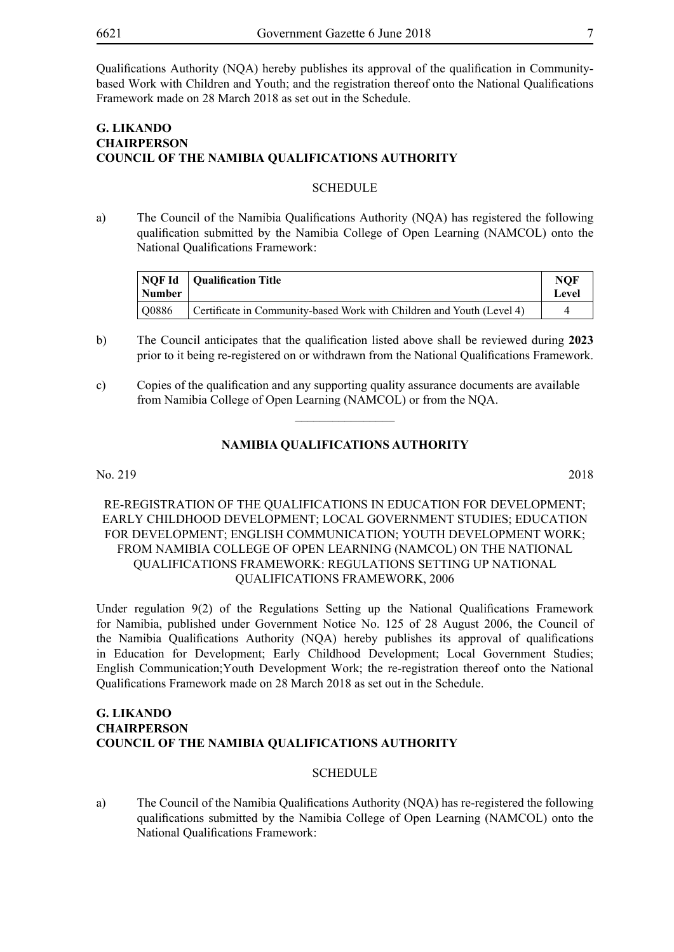Qualifications Authority (NQA) hereby publishes its approval of the qualification in Communitybased Work with Children and Youth; and the registration thereof onto the National Qualifications Framework made on 28 March 2018 as set out in the Schedule.

# **G. Likando Chairperson COUNCIL OF THE NAMIBIA QUALIFICATIONS AUTHORITY**

#### **SCHEDULE**

a) The Council of the Namibia Qualifications Authority (NQA) has registered the following qualification submitted by the Namibia College of Open Learning (NAMCOL) onto the National Qualifications Framework:

| <b>Number</b> | NOF Id   Qualification Title                                          | <b>NOF</b><br>Level |
|---------------|-----------------------------------------------------------------------|---------------------|
| O0886         | Certificate in Community-based Work with Children and Youth (Level 4) |                     |

- b) The Council anticipates that the qualification listed above shall be reviewed during **2023**  prior to it being re-registered on or withdrawn from the National Qualifications Framework.
- c) Copies of the qualification and any supporting quality assurance documents are available from Namibia College of Open Learning (NAMCOL) or from the NQA.

#### **NAMIBIA QUALIFICATIONS AUTHORITY**

 $\overline{\phantom{a}}$  , where  $\overline{\phantom{a}}$ 

No. 219 2018

RE-REGISTRATION OF THE QUALIFICATIONS IN EDUCATION FOR DEVELOPMENT; EARLY CHILDHOOD DEVELOPMENT; LOCAL GOVERNMENT STUDIES; EDUCATION FOR DEVELOPMENT; ENGLISH COMMUNICATION; YOUTH DEVELOPMENT WORK; FROM NAMIBIA COLLEGE OF OPEN LEARNING (NAMCOL) ON THE NATIONAL QUALIFICATIONS FRAMEWORK: REGULATIONS SETTING UP NATIONAL QUALIFICATIONS FRAMEWORK, 2006

Under regulation 9(2) of the Regulations Setting up the National Qualifications Framework for Namibia, published under Government Notice No. 125 of 28 August 2006, the Council of the Namibia Qualifications Authority (NQA) hereby publishes its approval of qualifications in Education for Development; Early Childhood Development; Local Government Studies; English Communication;Youth Development Work; the re-registration thereof onto the National Qualifications Framework made on 28 March 2018 as set out in the Schedule.

# **G. Likando Chairperson COUNCIL OF THE NAMIBIA QUALIFICATIONS AUTHORITY**

#### **SCHEDULE**

a) The Council of the Namibia Qualifications Authority (NQA) has re-registered the following qualifications submitted by the Namibia College of Open Learning (NAMCOL) onto the National Qualifications Framework: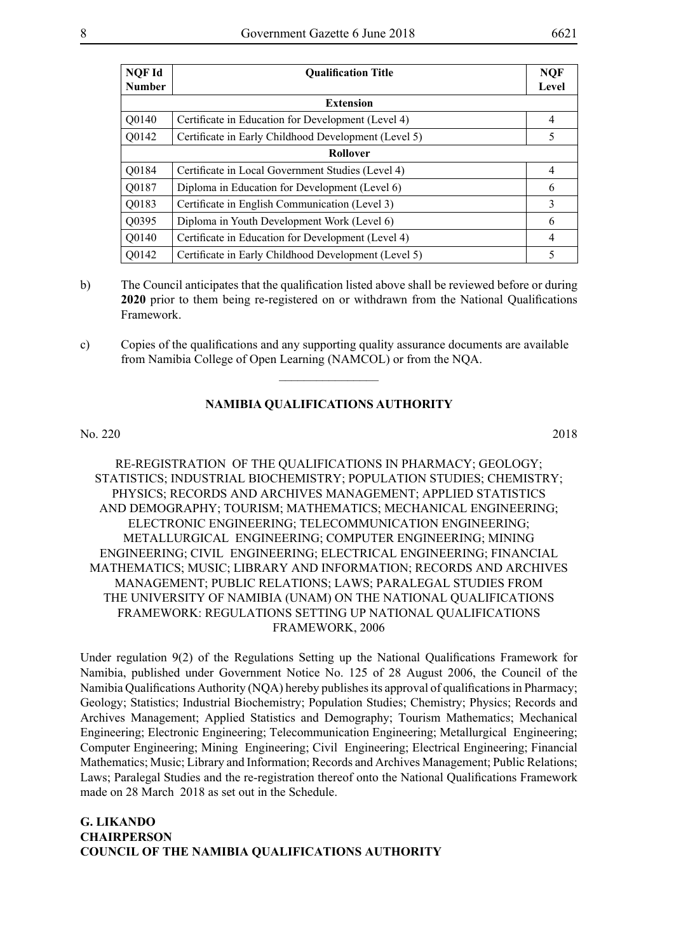| NQF Id<br><b>Number</b> | <b>Qualification Title</b>                           | <b>NOF</b><br>Level |  |
|-------------------------|------------------------------------------------------|---------------------|--|
|                         |                                                      |                     |  |
|                         | <b>Extension</b>                                     |                     |  |
| Q0140                   | Certificate in Education for Development (Level 4)   | $\overline{4}$      |  |
| Q0142                   | Certificate in Early Childhood Development (Level 5) | 5                   |  |
|                         | <b>Rollover</b>                                      |                     |  |
| Q0184                   | Certificate in Local Government Studies (Level 4)    | $\overline{4}$      |  |
| Q0187                   | Diploma in Education for Development (Level 6)       | 6                   |  |
| Q0183                   | Certificate in English Communication (Level 3)       | 3                   |  |
| Q0395                   | Diploma in Youth Development Work (Level 6)          | 6                   |  |
| Q0140                   | Certificate in Education for Development (Level 4)   | $\overline{4}$      |  |
| Q0142                   | Certificate in Early Childhood Development (Level 5) | 5                   |  |

- b) The Council anticipates that the qualification listed above shall be reviewed before or during **2020** prior to them being re-registered on or withdrawn from the National Qualifications Framework.
- c) Copies of the qualifications and any supporting quality assurance documents are available from Namibia College of Open Learning (NAMCOL) or from the NQA.

 $\frac{1}{2}$ 

No. 220 2018

RE-REGISTRATION OF THE QUALIFICATIONS IN PHARMACY; GEOLOGY; STATISTICS; INDUSTRIAL BIOCHEMISTRY; POPULATION STUDIES; CHEMISTRY; PHYSICS; RECORDS AND ARCHIVES MANAGEMENT; APPLIED STATISTICS AND DEMOGRAPHY; TOURISM; MATHEMATICS; MECHANICAL ENGINEERING; ELECTRONIC ENGINEERING; TELECOMMUNICATION ENGINEERING; METALLURGICAL ENGINEERING; COMPUTER ENGINEERING; MINING ENGINEERING; CIVIL ENGINEERING; ELECTRICAL ENGINEERING; FINANCIAL MATHEMATICS; MUSIC; LIBRARY AND INFORMATION; RECORDS AND ARCHIVES MANAGEMENT; PUBLIC RELATIONS; LAWS; PARALEGAL STUDIES FROM THE UNIVERSITY OF NAMIBIA (UNAM) ON THE NATIONAL QUALIFICATIONS FRAMEWORK: REGULATIONS SETTING UP NATIONAL QUALIFICATIONS FRAMEWORK, 2006

Under regulation 9(2) of the Regulations Setting up the National Qualifications Framework for Namibia, published under Government Notice No. 125 of 28 August 2006, the Council of the Namibia Qualifications Authority (NQA) hereby publishes its approval of qualifications in Pharmacy; Geology; Statistics; Industrial Biochemistry; Population Studies; Chemistry; Physics; Records and Archives Management; Applied Statistics and Demography; Tourism Mathematics; Mechanical Engineering; Electronic Engineering; Telecommunication Engineering; Metallurgical Engineering; Computer Engineering; Mining Engineering; Civil Engineering; Electrical Engineering; Financial Mathematics; Music; Library and Information; Records and Archives Management; Public Relations; Laws; Paralegal Studies and the re-registration thereof onto the National Qualifications Framework made on 28 March 2018 as set out in the Schedule.

**G. Likando Chairperson COUNCIL OF THE NAMIBIA QUALIFICATIONS AUTHORITY**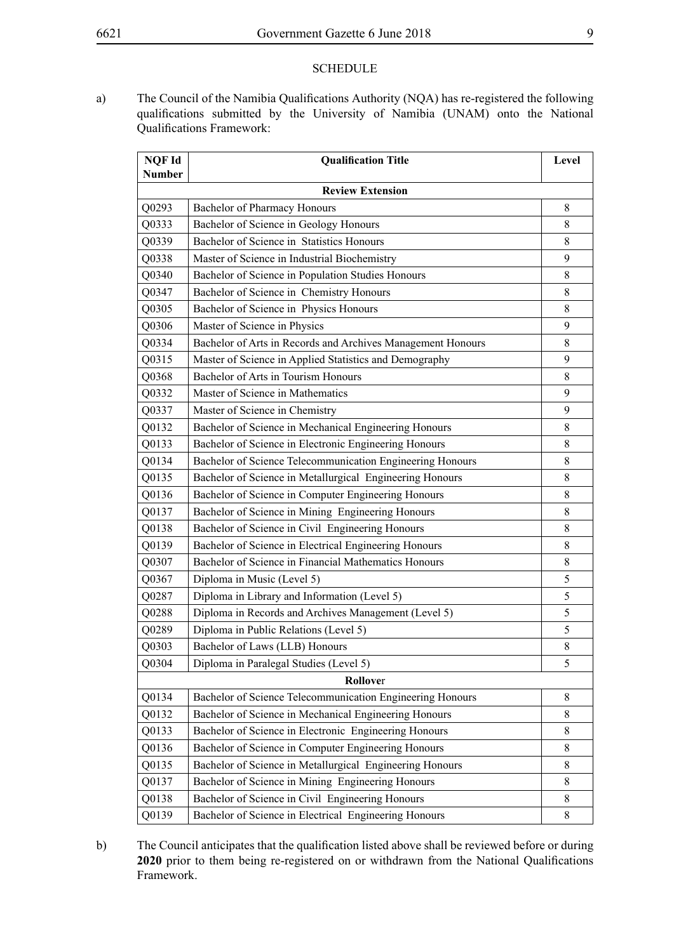#### **SCHEDULE**

a) The Council of the Namibia Qualifications Authority (NQA) has re-registered the following qualifications submitted by the University of Namibia (UNAM) onto the National Qualifications Framework:

| NQF Id                  | <b>Qualification Title</b>                                  | Level       |
|-------------------------|-------------------------------------------------------------|-------------|
| <b>Number</b>           |                                                             |             |
| <b>Review Extension</b> |                                                             |             |
| Q0293                   | Bachelor of Pharmacy Honours                                | 8           |
| Q0333                   | Bachelor of Science in Geology Honours                      | 8           |
| Q0339                   | Bachelor of Science in Statistics Honours                   | 8           |
| Q0338                   | Master of Science in Industrial Biochemistry                | 9           |
| Q0340                   | Bachelor of Science in Population Studies Honours           | 8           |
| Q0347                   | Bachelor of Science in Chemistry Honours                    | 8           |
| Q0305                   | Bachelor of Science in Physics Honours                      | 8           |
| Q0306                   | Master of Science in Physics                                | 9           |
| Q0334                   | Bachelor of Arts in Records and Archives Management Honours | 8           |
| Q0315                   | Master of Science in Applied Statistics and Demography      | 9           |
| Q0368                   | Bachelor of Arts in Tourism Honours                         | 8           |
| Q0332                   | Master of Science in Mathematics                            | 9           |
| Q0337                   | Master of Science in Chemistry                              | 9           |
| Q0132                   | Bachelor of Science in Mechanical Engineering Honours       | 8           |
| Q0133                   | Bachelor of Science in Electronic Engineering Honours       | 8           |
| Q0134                   | Bachelor of Science Telecommunication Engineering Honours   | 8           |
| Q0135                   | Bachelor of Science in Metallurgical Engineering Honours    | 8           |
| Q0136                   | Bachelor of Science in Computer Engineering Honours         | 8           |
| Q0137                   | Bachelor of Science in Mining Engineering Honours           | 8           |
| Q0138                   | Bachelor of Science in Civil Engineering Honours            | 8           |
| Q0139                   | Bachelor of Science in Electrical Engineering Honours       | 8           |
| Q0307                   | Bachelor of Science in Financial Mathematics Honours        | 8           |
| Q0367                   | Diploma in Music (Level 5)                                  | 5           |
| Q0287                   | Diploma in Library and Information (Level 5)                | 5           |
| Q0288                   | Diploma in Records and Archives Management (Level 5)        | 5           |
| Q0289                   | Diploma in Public Relations (Level 5)                       | 5           |
| Q0303                   | Bachelor of Laws (LLB) Honours                              | $\,$ 8 $\,$ |
| Q0304                   | Diploma in Paralegal Studies (Level 5)                      | 5           |
|                         | Rollover                                                    |             |
| Q0134                   | Bachelor of Science Telecommunication Engineering Honours   | 8           |
| Q0132                   | Bachelor of Science in Mechanical Engineering Honours       | 8           |
| Q0133                   | Bachelor of Science in Electronic Engineering Honours       | 8           |
| Q0136                   | Bachelor of Science in Computer Engineering Honours         | 8           |
| Q0135                   | Bachelor of Science in Metallurgical Engineering Honours    | 8           |
| Q0137                   | Bachelor of Science in Mining Engineering Honours           | 8           |
| Q0138                   | Bachelor of Science in Civil Engineering Honours            | 8           |
| Q0139                   | Bachelor of Science in Electrical Engineering Honours       | 8           |

b) The Council anticipates that the qualification listed above shall be reviewed before or during **2020** prior to them being re-registered on or withdrawn from the National Qualifications Framework.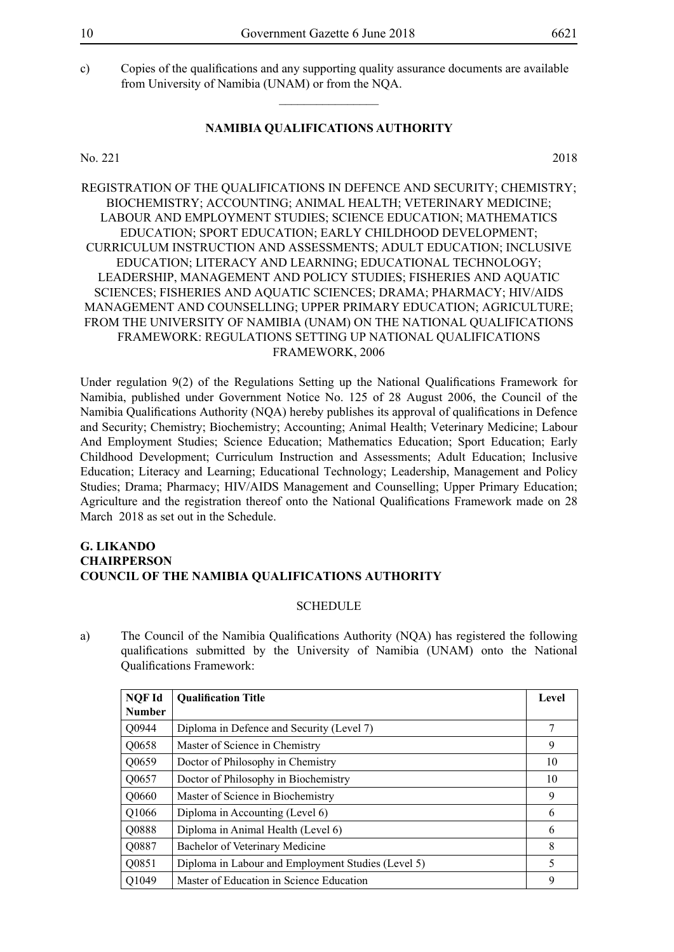c) Copies of the qualifications and any supporting quality assurance documents are available from University of Namibia (UNAM) or from the NQA.

#### **NAMIBIA QUALIFICATIONS AUTHORITY**

 $\overline{\phantom{a}}$  , where  $\overline{\phantom{a}}$ 

No. 221 2018

REGISTRATION OF THE QUALIFICATIONS IN DEFENCE AND SECURITY; CHEMISTRY; BIOCHEMISTRY; ACCOUNTING; ANIMAL HEALTH; VETERINARY MEDICINE; LABOUR AND EMPLOYMENT STUDIES; SCIENCE EDUCATION; MATHEMATICS EDUCATION; SPORT EDUCATION; EARLY CHILDHOOD DEVELOPMENT; CURRICULUM INSTRUCTION AND ASSESSMENTS; ADULT EDUCATION; INCLUSIVE EDUCATION; LITERACY AND LEARNING; EDUCATIONAL TECHNOLOGY; LEADERSHIP, MANAGEMENT AND POLICY STUDIES; FISHERIES AND AQUATIC SCIENCES; FISHERIES AND AQUATIC SCIENCES; DRAMA; PHARMACY; HIV/AIDS MANAGEMENT AND COUNSELLING; UPPER PRIMARY EDUCATION; AGRICULTURE; FROM THE UNIVERSITY OF NAMIBIA (UNAM) ON THE NATIONAL QUALIFICATIONS FRAMEWORK: REGULATIONS SETTING UP NATIONAL QUALIFICATIONS FRAMEWORK, 2006

Under regulation 9(2) of the Regulations Setting up the National Qualifications Framework for Namibia, published under Government Notice No. 125 of 28 August 2006, the Council of the Namibia Qualifications Authority (NQA) hereby publishes its approval of qualifications in Defence and Security; Chemistry; Biochemistry; Accounting; Animal Health; Veterinary Medicine; Labour And Employment Studies; Science Education; Mathematics Education; Sport Education; Early Childhood Development; Curriculum Instruction and Assessments; Adult Education; Inclusive Education; Literacy and Learning; Educational Technology; Leadership, Management and Policy Studies; Drama; Pharmacy; HIV/AIDS Management and Counselling; Upper Primary Education; Agriculture and the registration thereof onto the National Qualifications Framework made on 28 March 2018 as set out in the Schedule.

#### **G. Likando Chairperson COUNCIL OF THE NAMIBIA QUALIFICATIONS AUTHORITY**

#### **SCHEDULE**

a) The Council of the Namibia Qualifications Authority (NQA) has registered the following qualifications submitted by the University of Namibia (UNAM) onto the National Qualifications Framework:

| NQF Id        | <b>Qualification Title</b>                         | Level |
|---------------|----------------------------------------------------|-------|
| <b>Number</b> |                                                    |       |
| Q0944         | Diploma in Defence and Security (Level 7)          | 7     |
| Q0658         | Master of Science in Chemistry                     | 9     |
| Q0659         | Doctor of Philosophy in Chemistry                  | 10    |
| Q0657         | Doctor of Philosophy in Biochemistry               | 10    |
| Q0660         | Master of Science in Biochemistry                  | 9     |
| Q1066         | Diploma in Accounting (Level 6)                    | 6     |
| Q0888         | Diploma in Animal Health (Level 6)                 | 6     |
| Q0887         | Bachelor of Veterinary Medicine                    | 8     |
| Q0851         | Diploma in Labour and Employment Studies (Level 5) | 5     |
| Q1049         | Master of Education in Science Education           | 9     |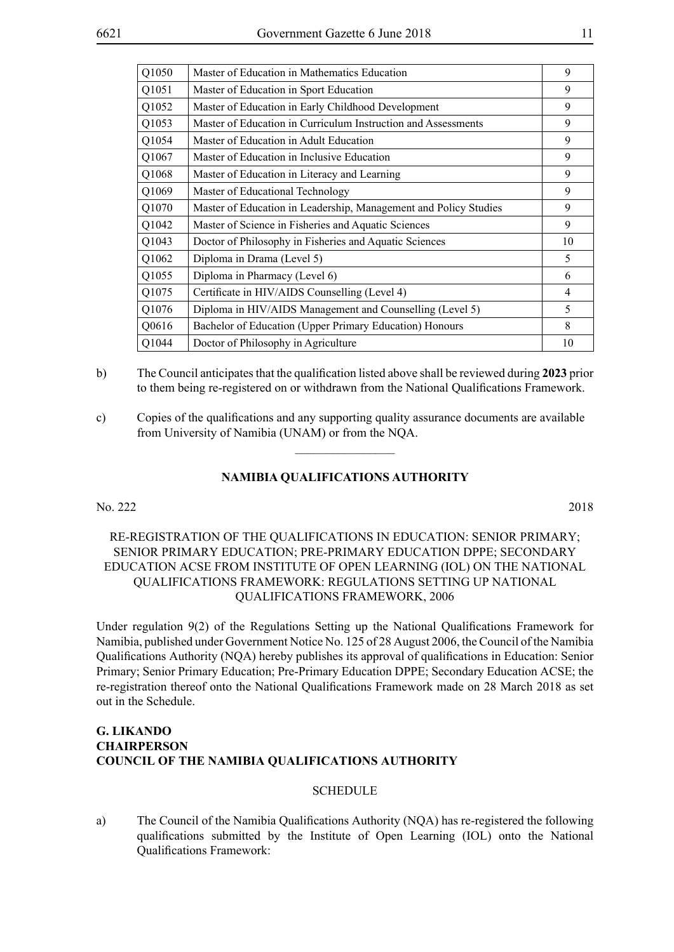| Master of Education in Mathematics Education                     | 9              |
|------------------------------------------------------------------|----------------|
| Master of Education in Sport Education                           | 9              |
| Master of Education in Early Childhood Development               | 9              |
| Master of Education in Curriculum Instruction and Assessments    | 9              |
| Master of Education in Adult Education                           | 9              |
| Master of Education in Inclusive Education                       | 9              |
| Master of Education in Literacy and Learning                     | 9              |
| Master of Educational Technology                                 | 9              |
| Master of Education in Leadership, Management and Policy Studies | 9              |
| Master of Science in Fisheries and Aquatic Sciences              | 9              |
| Doctor of Philosophy in Fisheries and Aquatic Sciences           | 10             |
| Diploma in Drama (Level 5)                                       | 5              |
| Diploma in Pharmacy (Level 6)                                    | 6              |
| Certificate in HIV/AIDS Counselling (Level 4)                    | $\overline{4}$ |
| Diploma in HIV/AIDS Management and Counselling (Level 5)         | 5              |
| Bachelor of Education (Upper Primary Education) Honours          | 8              |
| Doctor of Philosophy in Agriculture                              | 10             |
|                                                                  |                |

- b) The Council anticipates that the qualification listed above shall be reviewed during **2023** prior to them being re-registered on or withdrawn from the National Qualifications Framework.
- c) Copies of the qualifications and any supporting quality assurance documents are available from University of Namibia (UNAM) or from the NQA.

 $\frac{1}{2}$ 

No. 222 2018

# RE-REGISTRATION OF THE QUALIFICATIONS IN EDUCATION: SENIOR PRIMARY; SENIOR PRIMARY EDUCATION; PRE-PRIMARY EDUCATION DPPE; SECONDARY EDUCATION ACSE FROM INSTITUTE OF OPEN LEARNING (IOL) ON THE NATIONAL QUALIFICATIONS FRAMEWORK: REGULATIONS SETTING UP NATIONAL QUALIFICATIONS FRAMEWORK, 2006

Under regulation 9(2) of the Regulations Setting up the National Qualifications Framework for Namibia, published under Government Notice No. 125 of 28 August 2006, the Council of the Namibia Qualifications Authority (NQA) hereby publishes its approval of qualifications in Education: Senior Primary; Senior Primary Education; Pre-Primary Education DPPE; Secondary Education ACSE; the re-registration thereof onto the National Qualifications Framework made on 28 March 2018 as set out in the Schedule.

# **G. Likando Chairperson COUNCIL OF THE NAMIBIA QUALIFICATIONS AUTHORITY**

#### **SCHEDULE**

a) The Council of the Namibia Qualifications Authority (NQA) has re-registered the following qualifications submitted by the Institute of Open Learning (IOL) onto the National Qualifications Framework: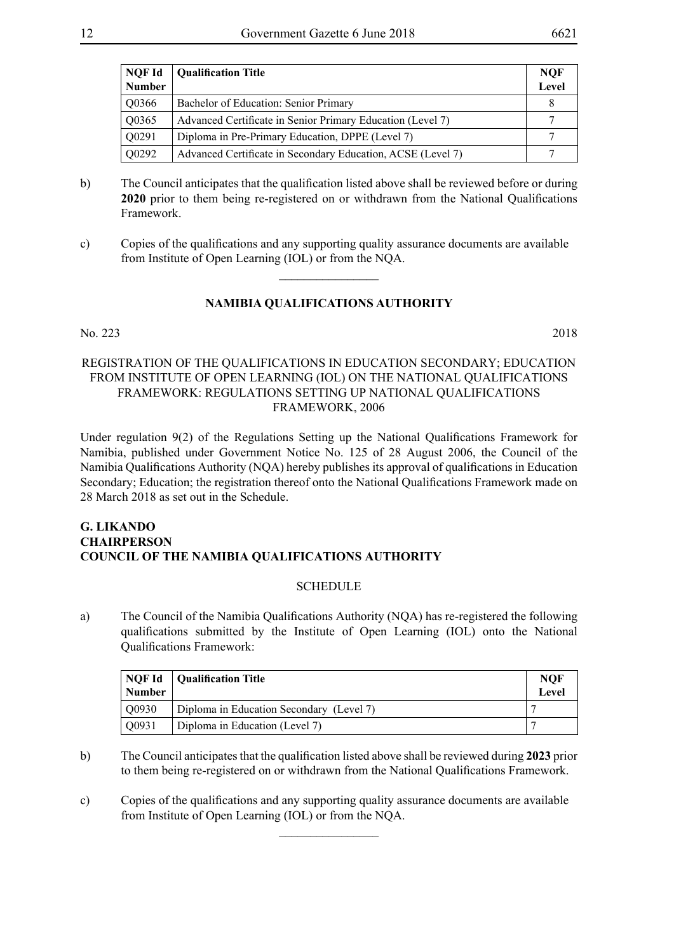| NQF Id        | <b>Qualification Title</b>                                  | NQF   |
|---------------|-------------------------------------------------------------|-------|
| <b>Number</b> |                                                             | Level |
| Q0366         | Bachelor of Education: Senior Primary                       | 8     |
| Q0365         | Advanced Certificate in Senior Primary Education (Level 7)  |       |
| Q0291         | Diploma in Pre-Primary Education, DPPE (Level 7)            |       |
| Q0292         | Advanced Certificate in Secondary Education, ACSE (Level 7) |       |

- b) The Council anticipates that the qualification listed above shall be reviewed before or during **2020** prior to them being re-registered on or withdrawn from the National Qualifications Framework.
- c) Copies of the qualifications and any supporting quality assurance documents are available from Institute of Open Learning (IOL) or from the NQA.

 $\overline{\phantom{a}}$  , where  $\overline{\phantom{a}}$ 

#### No. 223 2018

#### REGISTRATION OF THE QUALIFICATIONS IN EDUCATION SECONDARY; EDUCATION FROM INSTITUTE OF OPEN LEARNING (IOL) ON THE NATIONAL QUALIFICATIONS FRAMEWORK: REGULATIONS SETTING UP NATIONAL QUALIFICATIONS FRAMEWORK, 2006

Under regulation 9(2) of the Regulations Setting up the National Qualifications Framework for Namibia, published under Government Notice No. 125 of 28 August 2006, the Council of the Namibia Qualifications Authority (NQA) hereby publishes its approval of qualifications in Education Secondary; Education; the registration thereof onto the National Qualifications Framework made on 28 March 2018 as set out in the Schedule.

# **G. Likando Chairperson COUNCIL OF THE NAMIBIA QUALIFICATIONS AUTHORITY**

# **SCHEDULE**

a) The Council of the Namibia Qualifications Authority (NQA) has re-registered the following qualifications submitted by the Institute of Open Learning (IOL) onto the National Qualifications Framework:

| <b>Number</b> | NOF Id   Qualification Title             | <b>NOF</b><br>Level |
|---------------|------------------------------------------|---------------------|
| Q0930         | Diploma in Education Secondary (Level 7) |                     |
| Q0931         | Diploma in Education (Level 7)           |                     |

- b) The Council anticipates that the qualification listed above shall be reviewed during **2023** prior to them being re-registered on or withdrawn from the National Qualifications Framework.
- c) Copies of the qualifications and any supporting quality assurance documents are available from Institute of Open Learning (IOL) or from the NQA.

 $\frac{1}{2}$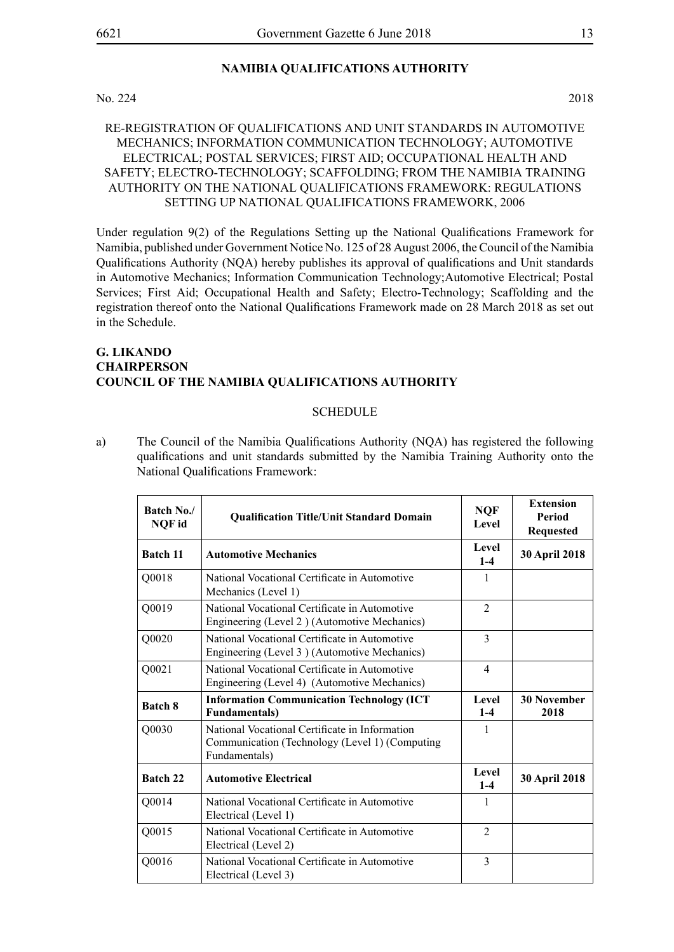#### No. 224 2018

# RE-REGISTRATION OF QUALIFICATIONS AND UNIT STANDARDS IN AUTOMOTIVE MECHANICS; INFORMATION COMMUNICATION TECHNOLOGY; AUTOMOTIVE ELECTRICAL; POSTAL SERVICES; FIRST AID; OCCUPATIONAL HEALTH AND SAFETY; ELECTRO-TECHNOLOGY; SCAFFOLDING; FROM THE NAMIBIA TRAINING AUTHORITY ON THE NATIONAL QUALIFICATIONS FRAMEWORK: REGULATIONS SETTING UP NATIONAL QUALIFICATIONS FRAMEWORK, 2006

Under regulation 9(2) of the Regulations Setting up the National Qualifications Framework for Namibia, published under Government Notice No. 125 of 28 August 2006, the Council of the Namibia Qualifications Authority (NQA) hereby publishes its approval of qualifications and Unit standards in Automotive Mechanics; Information Communication Technology;Automotive Electrical; Postal Services; First Aid; Occupational Health and Safety; Electro-Technology; Scaffolding and the registration thereof onto the National Qualifications Framework made on 28 March 2018 as set out in the Schedule.

#### **G. Likando Chairperson COUNCIL OF THE NAMIBIA QUALIFICATIONS AUTHORITY**

#### SCHEDULE

a) The Council of the Namibia Qualifications Authority (NQA) has registered the following qualifications and unit standards submitted by the Namibia Training Authority onto the National Qualifications Framework:

| Batch No./<br>NQF id | <b>Qualification Title/Unit Standard Domain</b>                                                                   | <b>NQF</b><br>Level | <b>Extension</b><br>Period<br><b>Requested</b> |
|----------------------|-------------------------------------------------------------------------------------------------------------------|---------------------|------------------------------------------------|
| <b>Batch 11</b>      | <b>Automotive Mechanics</b>                                                                                       | Level<br>$1-4$      | 30 April 2018                                  |
| Q0018                | National Vocational Certificate in Automotive<br>Mechanics (Level 1)                                              | 1                   |                                                |
| Q0019                | National Vocational Certificate in Automotive<br>Engineering (Level 2) (Automotive Mechanics)                     | $\mathfrak{D}$      |                                                |
| Q0020                | National Vocational Certificate in Automotive<br>Engineering (Level 3) (Automotive Mechanics)                     | 3                   |                                                |
| Q0021                | National Vocational Certificate in Automotive<br>Engineering (Level 4) (Automotive Mechanics)                     | $\overline{4}$      |                                                |
| <b>Batch 8</b>       | <b>Information Communication Technology (ICT</b><br><b>Fundamentals)</b>                                          | Level<br>$1-4$      | <b>30 November</b><br>2018                     |
| Q0030                | National Vocational Certificate in Information<br>Communication (Technology (Level 1) (Computing<br>Fundamentals) | 1                   |                                                |
| Batch 22             | <b>Automotive Electrical</b>                                                                                      | Level<br>$1-4$      | <b>30 April 2018</b>                           |
| Q0014                | National Vocational Certificate in Automotive<br>Electrical (Level 1)                                             | 1                   |                                                |
| Q0015                | National Vocational Certificate in Automotive<br>Electrical (Level 2)                                             | $\mathfrak{D}$      |                                                |
| Q0016                | National Vocational Certificate in Automotive<br>Electrical (Level 3)                                             | 3                   |                                                |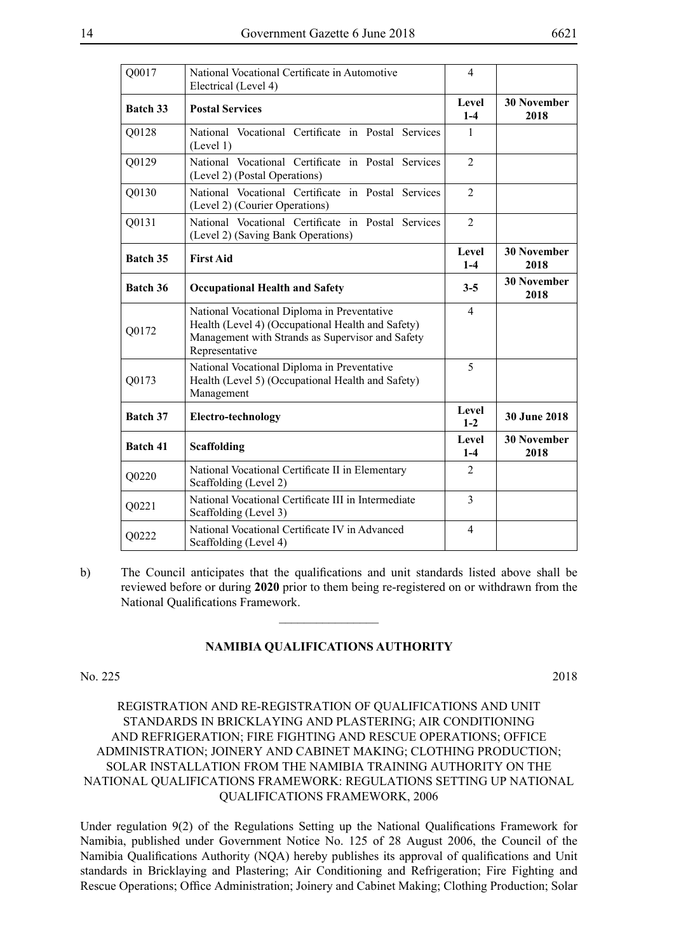| Q0017           | National Vocational Certificate in Automotive<br>Electrical (Level 4)                                                                                                  | $\overline{4}$   |                            |
|-----------------|------------------------------------------------------------------------------------------------------------------------------------------------------------------------|------------------|----------------------------|
| Batch 33        | <b>Postal Services</b>                                                                                                                                                 |                  | <b>30 November</b><br>2018 |
| Q0128           | National Vocational Certificate in Postal Services<br>(Level 1)                                                                                                        | 1                |                            |
| Q0129           | National Vocational Certificate in Postal Services<br>(Level 2) (Postal Operations)                                                                                    | $\overline{2}$   |                            |
| Q0130           | National Vocational Certificate in Postal Services<br>(Level 2) (Courier Operations)                                                                                   | $\overline{2}$   |                            |
| Q0131           | National Vocational Certificate in Postal Services<br>(Level 2) (Saving Bank Operations)                                                                               | $\overline{2}$   |                            |
| Batch 35        | <b>First Aid</b>                                                                                                                                                       | Level<br>$1-4$   | <b>30 November</b><br>2018 |
| Batch 36        | <b>Occupational Health and Safety</b>                                                                                                                                  |                  | <b>30 November</b><br>2018 |
| Q0172           | National Vocational Diploma in Preventative<br>Health (Level 4) (Occupational Health and Safety)<br>Management with Strands as Supervisor and Safety<br>Representative |                  |                            |
| Q0173           | National Vocational Diploma in Preventative<br>Health (Level 5) (Occupational Health and Safety)<br>Management                                                         | 5                |                            |
| <b>Batch 37</b> | <b>Electro-technology</b>                                                                                                                                              | Level<br>$1 - 2$ | <b>30 June 2018</b>        |
| Batch 41        | <b>Scaffolding</b>                                                                                                                                                     | Level<br>$1 - 4$ | <b>30 November</b><br>2018 |
| Q0220           | National Vocational Certificate II in Elementary<br>Scaffolding (Level 2)                                                                                              | $\overline{2}$   |                            |
| Q0221           | National Vocational Certificate III in Intermediate<br>Scaffolding (Level 3)                                                                                           | 3                |                            |
| Q0222           | National Vocational Certificate IV in Advanced<br>Scaffolding (Level 4)                                                                                                | 4                |                            |

b) The Council anticipates that the qualifications and unit standards listed above shall be reviewed before or during **2020** prior to them being re-registered on or withdrawn from the National Qualifications Framework.

 $\frac{1}{2}$ 

#### **NAMIBIA QUALIFICATIONS AUTHORITY**

#### No. 225 2018

REGISTRATION AND RE-REGISTRATION OF QUALIFICATIONS AND UNIT STANDARDS IN BRICKLAYING AND PLASTERING; AIR CONDITIONING AND REFRIGERATION; FIRE FIGHTING AND RESCUE OPERATIONS; OFFICE ADMINISTRATION; JOINERY AND CABINET MAKING; CLOTHING PRODUCTION; SOLAR INSTALLATION FROM THE NAMIBIA TRAINING AUTHORITY ON THE NATIONAL QUALIFICATIONS FRAMEWORK: REGULATIONS SETTING UP NATIONAL QUALIFICATIONS FRAMEWORK, 2006

Under regulation 9(2) of the Regulations Setting up the National Qualifications Framework for Namibia, published under Government Notice No. 125 of 28 August 2006, the Council of the Namibia Qualifications Authority (NQA) hereby publishes its approval of qualifications and Unit standards in Bricklaying and Plastering; Air Conditioning and Refrigeration; Fire Fighting and Rescue Operations; Office Administration; Joinery and Cabinet Making; Clothing Production; Solar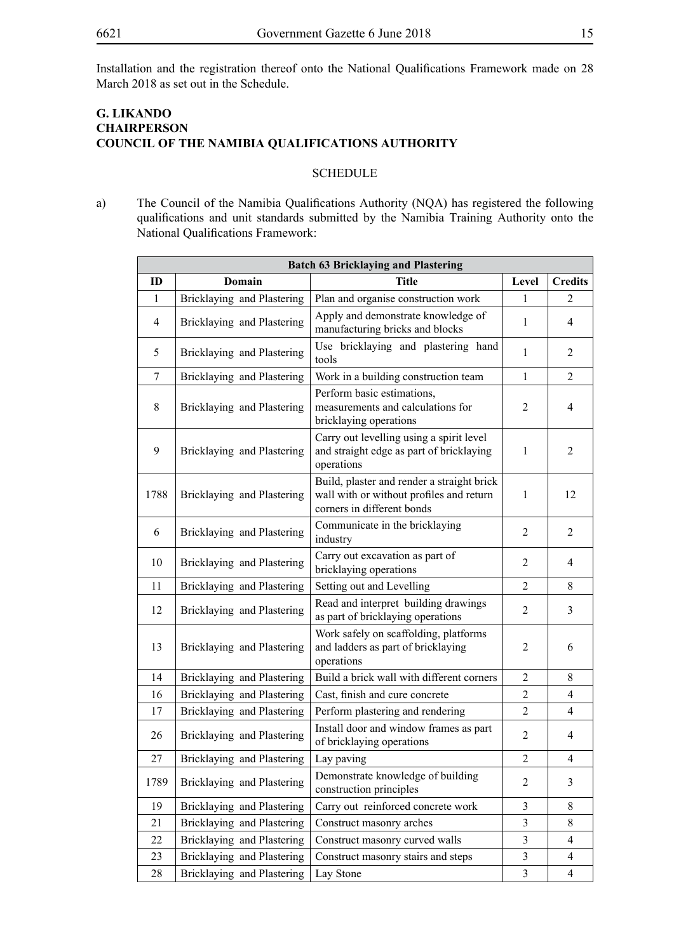Installation and the registration thereof onto the National Qualifications Framework made on 28 March 2018 as set out in the Schedule.

# **G. Likando Chairperson COUNCIL OF THE NAMIBIA QUALIFICATIONS AUTHORITY**

#### SCHEDULE

a) The Council of the Namibia Qualifications Authority (NQA) has registered the following qualifications and unit standards submitted by the Namibia Training Authority onto the National Qualifications Framework:

| <b>Batch 63 Bricklaying and Plastering</b> |                            |                                                                                                                      |                  |                |
|--------------------------------------------|----------------------------|----------------------------------------------------------------------------------------------------------------------|------------------|----------------|
| ID                                         | <b>Domain</b>              | <b>Title</b>                                                                                                         | Level            | <b>Credits</b> |
| 1                                          | Bricklaying and Plastering | Plan and organise construction work                                                                                  | 1                | 2              |
| $\overline{4}$                             | Bricklaying and Plastering | Apply and demonstrate knowledge of<br>manufacturing bricks and blocks                                                | 1                | $\overline{4}$ |
| 5                                          | Bricklaying and Plastering | Use bricklaying and plastering hand<br>tools                                                                         | $\mathbf{1}$     | $\overline{2}$ |
| 7                                          | Bricklaying and Plastering | Work in a building construction team                                                                                 | $\mathbf{1}$     | $\overline{2}$ |
| 8                                          | Bricklaying and Plastering | Perform basic estimations,<br>measurements and calculations for<br>bricklaying operations                            | 2                | $\overline{4}$ |
| 9                                          | Bricklaying and Plastering | Carry out levelling using a spirit level<br>and straight edge as part of bricklaying<br>operations                   | 1                | $\overline{2}$ |
| 1788                                       | Bricklaying and Plastering | Build, plaster and render a straight brick<br>wall with or without profiles and return<br>corners in different bonds | 1                | 12             |
| 6                                          | Bricklaying and Plastering | Communicate in the bricklaying<br>industry                                                                           | $\overline{2}$   | $\overline{2}$ |
| 10                                         | Bricklaying and Plastering | Carry out excavation as part of<br>bricklaying operations                                                            | $\overline{2}$   | $\overline{4}$ |
| 11                                         | Bricklaying and Plastering | Setting out and Levelling                                                                                            | $\overline{2}$   | 8              |
| 12                                         | Bricklaying and Plastering | Read and interpret building drawings<br>as part of bricklaying operations                                            | $\overline{2}$   | 3              |
| 13                                         | Bricklaying and Plastering | Work safely on scaffolding, platforms<br>and ladders as part of bricklaying<br>operations                            | $\overline{2}$   | 6              |
| 14                                         | Bricklaying and Plastering | Build a brick wall with different corners                                                                            | $\overline{2}$   | 8              |
| 16                                         | Bricklaying and Plastering | Cast, finish and cure concrete                                                                                       | $\overline{2}$   | 4              |
| 17                                         | Bricklaying and Plastering | Perform plastering and rendering                                                                                     | $\overline{2}$   | $\overline{4}$ |
| 26                                         | Bricklaying and Plastering | Install door and window frames as part<br>of bricklaying operations                                                  | $\overline{2}$   | $\overline{4}$ |
| 27                                         | Bricklaying and Plastering | Lay paving                                                                                                           | $\boldsymbol{2}$ | $\overline{4}$ |
| 1789                                       | Bricklaying and Plastering | Demonstrate knowledge of building<br>construction principles                                                         | 2                | 3              |
| 19                                         | Bricklaying and Plastering | Carry out reinforced concrete work                                                                                   | 3                | 8              |
| 21                                         | Bricklaying and Plastering | Construct masonry arches                                                                                             | 3                | 8              |
| 22                                         | Bricklaying and Plastering | Construct masonry curved walls                                                                                       | 3                | $\overline{4}$ |
| 23                                         | Bricklaying and Plastering | Construct masonry stairs and steps                                                                                   | 3                | $\overline{4}$ |
| 28                                         | Bricklaying and Plastering | Lay Stone                                                                                                            | $\mathfrak{Z}$   | $\overline{4}$ |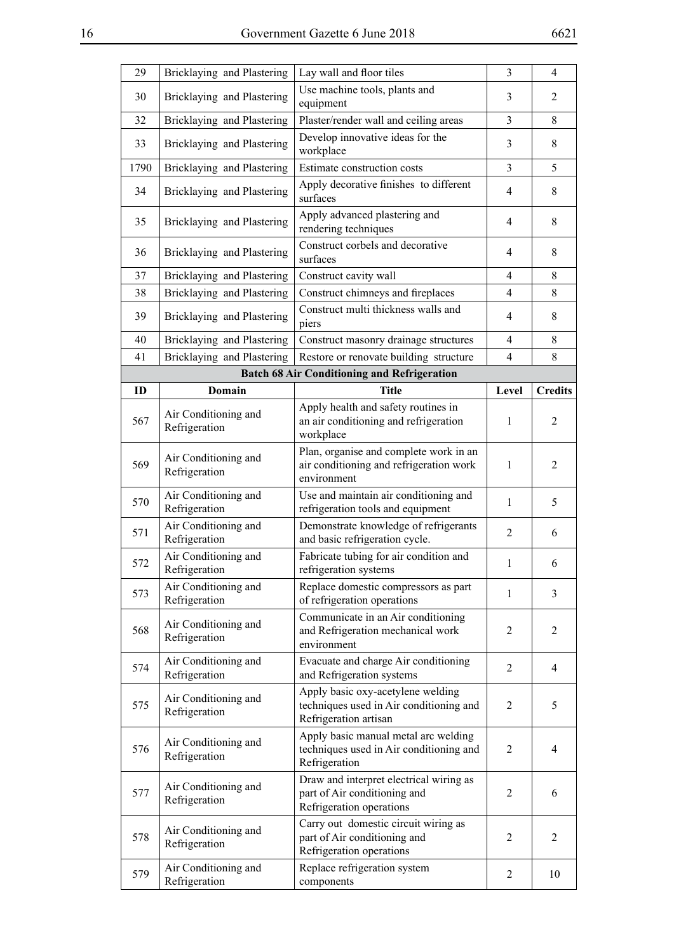| 29   | Bricklaying and Plastering            | Lay wall and floor tiles                                                                              | 3              | $\overline{4}$ |
|------|---------------------------------------|-------------------------------------------------------------------------------------------------------|----------------|----------------|
| 30   | Bricklaying and Plastering            | Use machine tools, plants and<br>equipment                                                            | 3              | $\overline{2}$ |
| 32   | Bricklaying and Plastering            | Plaster/render wall and ceiling areas                                                                 | 3              | 8              |
| 33   | Bricklaying and Plastering            | Develop innovative ideas for the<br>workplace                                                         | 3              | 8              |
| 1790 | Bricklaying and Plastering            | Estimate construction costs                                                                           | 3              | 5              |
| 34   | Bricklaying and Plastering            | Apply decorative finishes to different<br>surfaces                                                    | $\overline{4}$ | 8              |
| 35   | Bricklaying and Plastering            | Apply advanced plastering and<br>rendering techniques                                                 | $\overline{4}$ | 8              |
| 36   | Bricklaying and Plastering            | Construct corbels and decorative<br>surfaces                                                          | $\overline{4}$ | 8              |
| 37   | Bricklaying and Plastering            | Construct cavity wall                                                                                 | 4              | 8              |
| 38   | Bricklaying and Plastering            | Construct chimneys and fireplaces                                                                     | $\overline{4}$ | 8              |
| 39   | Bricklaying and Plastering            | Construct multi thickness walls and<br>piers                                                          | 4              | 8              |
| 40   | Bricklaying and Plastering            | Construct masonry drainage structures                                                                 | $\overline{4}$ | 8              |
| 41   | Bricklaying and Plastering            | Restore or renovate building structure                                                                | $\overline{4}$ | 8              |
|      |                                       | <b>Batch 68 Air Conditioning and Refrigeration</b>                                                    |                |                |
| ID   | <b>Domain</b>                         | <b>Title</b>                                                                                          | Level          | <b>Credits</b> |
| 567  | Air Conditioning and<br>Refrigeration | Apply health and safety routines in<br>an air conditioning and refrigeration<br>workplace             | $\mathbf{1}$   | 2              |
| 569  | Air Conditioning and<br>Refrigeration | Plan, organise and complete work in an<br>air conditioning and refrigeration work<br>environment      | $\mathbf{1}$   | $\overline{2}$ |
| 570  | Air Conditioning and<br>Refrigeration | Use and maintain air conditioning and<br>refrigeration tools and equipment                            | $\mathbf{1}$   | 5              |
| 571  | Air Conditioning and<br>Refrigeration | Demonstrate knowledge of refrigerants<br>and basic refrigeration cycle.                               | $\overline{2}$ | 6              |
| 572  | Air Conditioning and<br>Refrigeration | Fabricate tubing for air condition and<br>refrigeration systems                                       | 1              | 6              |
| 573  | Air Conditioning and<br>Refrigeration | Replace domestic compressors as part<br>of refrigeration operations                                   | $\mathbf{1}$   | 3              |
| 568  | Air Conditioning and<br>Refrigeration | Communicate in an Air conditioning<br>and Refrigeration mechanical work<br>environment                | 2              | 2              |
| 574  | Air Conditioning and<br>Refrigeration | Evacuate and charge Air conditioning<br>and Refrigeration systems                                     | $\overline{2}$ | 4              |
| 575  | Air Conditioning and<br>Refrigeration | Apply basic oxy-acetylene welding<br>techniques used in Air conditioning and<br>Refrigeration artisan | $\overline{2}$ | 5              |
| 576  | Air Conditioning and<br>Refrigeration | Apply basic manual metal arc welding<br>techniques used in Air conditioning and<br>Refrigeration      | 2              | 4              |
| 577  |                                       |                                                                                                       |                |                |
|      | Air Conditioning and<br>Refrigeration | Draw and interpret electrical wiring as<br>part of Air conditioning and<br>Refrigeration operations   | 2              | 6              |
| 578  | Air Conditioning and<br>Refrigeration | Carry out domestic circuit wiring as<br>part of Air conditioning and<br>Refrigeration operations      | 2              | 2              |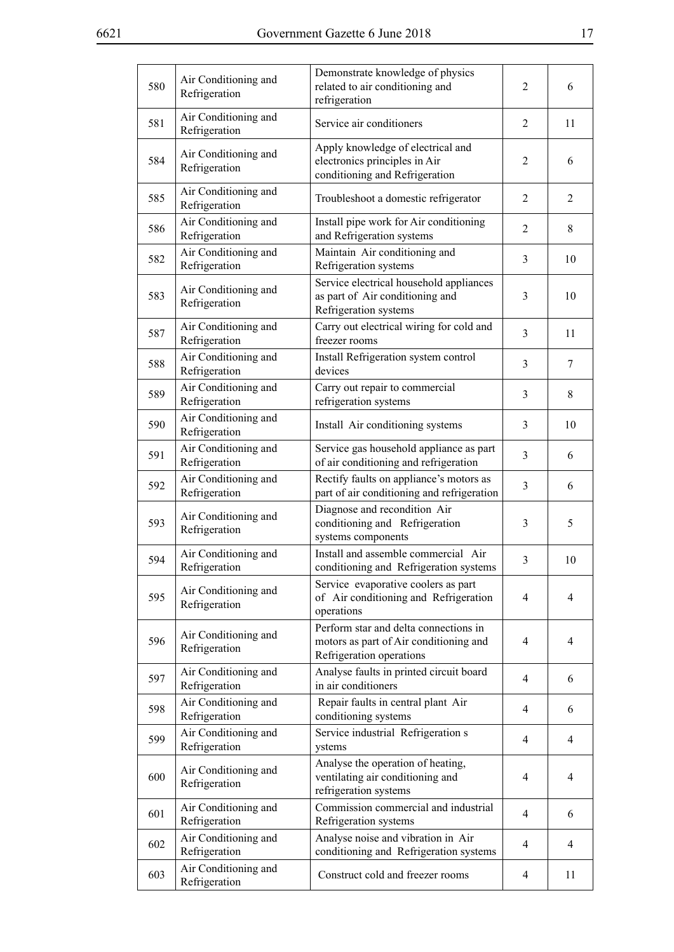| 580 | Air Conditioning and<br>Refrigeration | Demonstrate knowledge of physics<br>related to air conditioning and<br>refrigeration                        | $\overline{2}$ | 6              |
|-----|---------------------------------------|-------------------------------------------------------------------------------------------------------------|----------------|----------------|
| 581 | Air Conditioning and<br>Refrigeration | Service air conditioners                                                                                    | 2              | 11             |
| 584 | Air Conditioning and<br>Refrigeration | Apply knowledge of electrical and<br>electronics principles in Air<br>conditioning and Refrigeration        | 2              | 6              |
| 585 | Air Conditioning and<br>Refrigeration | Troubleshoot a domestic refrigerator                                                                        | 2              | $\overline{2}$ |
| 586 | Air Conditioning and<br>Refrigeration | Install pipe work for Air conditioning<br>and Refrigeration systems                                         | $\overline{2}$ | 8              |
| 582 | Air Conditioning and<br>Refrigeration | Maintain Air conditioning and<br>Refrigeration systems                                                      | 3              | 10             |
| 583 | Air Conditioning and<br>Refrigeration | Service electrical household appliances<br>as part of Air conditioning and<br>Refrigeration systems         | 3              | 10             |
| 587 | Air Conditioning and<br>Refrigeration | Carry out electrical wiring for cold and<br>freezer rooms                                                   | 3              | 11             |
| 588 | Air Conditioning and<br>Refrigeration | Install Refrigeration system control<br>devices                                                             | 3              | 7              |
| 589 | Air Conditioning and<br>Refrigeration | Carry out repair to commercial<br>refrigeration systems                                                     | 3              | 8              |
| 590 | Air Conditioning and<br>Refrigeration | Install Air conditioning systems                                                                            | 3              | 10             |
| 591 | Air Conditioning and<br>Refrigeration | Service gas household appliance as part<br>of air conditioning and refrigeration                            | 3              | 6              |
| 592 | Air Conditioning and<br>Refrigeration | Rectify faults on appliance's motors as<br>part of air conditioning and refrigeration                       | 3              | 6              |
| 593 | Air Conditioning and<br>Refrigeration | Diagnose and recondition Air<br>conditioning and Refrigeration<br>systems components                        | 3              | 5              |
| 594 | Air Conditioning and<br>Refrigeration | Install and assemble commercial Air<br>conditioning and Refrigeration systems                               | 3              | 10             |
| 595 | Air Conditioning and<br>Refrigeration | Service evaporative coolers as part<br>of Air conditioning and Refrigeration<br>operations                  | 4              | 4              |
| 596 | Air Conditioning and<br>Refrigeration | Perform star and delta connections in<br>motors as part of Air conditioning and<br>Refrigeration operations | 4              | 4              |
| 597 | Air Conditioning and<br>Refrigeration | Analyse faults in printed circuit board<br>in air conditioners                                              | 4              | 6              |
| 598 | Air Conditioning and<br>Refrigeration | Repair faults in central plant Air<br>conditioning systems                                                  | 4              | 6              |
| 599 | Air Conditioning and<br>Refrigeration | Service industrial Refrigeration s<br>ystems                                                                | 4              | 4              |
| 600 | Air Conditioning and<br>Refrigeration | Analyse the operation of heating,<br>ventilating air conditioning and<br>refrigeration systems              | 4              | $\overline{4}$ |
| 601 | Air Conditioning and<br>Refrigeration | Commission commercial and industrial<br>Refrigeration systems                                               | 4              | 6              |
| 602 | Air Conditioning and<br>Refrigeration | Analyse noise and vibration in Air<br>conditioning and Refrigeration systems                                | 4              | 4              |
| 603 | Air Conditioning and<br>Refrigeration | Construct cold and freezer rooms                                                                            | 4              | 11             |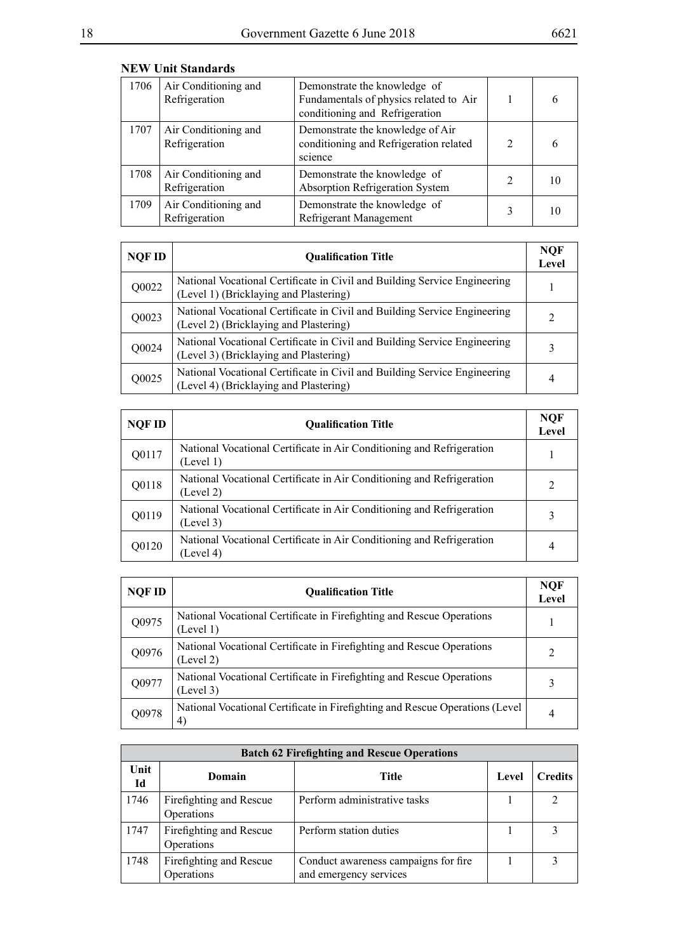| 1706 | Air Conditioning and<br>Refrigeration | Demonstrate the knowledge of<br>Fundamentals of physics related to Air<br>conditioning and Refrigeration |   | 6 |
|------|---------------------------------------|----------------------------------------------------------------------------------------------------------|---|---|
| 1707 | Air Conditioning and<br>Refrigeration | Demonstrate the knowledge of Air<br>conditioning and Refrigeration related<br>science                    | っ |   |
| 1708 | Air Conditioning and<br>Refrigeration | Demonstrate the knowledge of<br>Absorption Refrigeration System                                          | 2 |   |
| 1709 | Air Conditioning and<br>Refrigeration | Demonstrate the knowledge of<br>Refrigerant Management                                                   |   |   |

| <b>NEW Unit Standards</b> |  |  |
|---------------------------|--|--|
|                           |  |  |

| <b>NQF ID</b> | <b>Oualification Title</b>                                                                                          | <b>NQF</b><br>Level |
|---------------|---------------------------------------------------------------------------------------------------------------------|---------------------|
| Q0022         | National Vocational Certificate in Civil and Building Service Engineering<br>(Level 1) (Bricklaying and Plastering) |                     |
| Q0023         | National Vocational Certificate in Civil and Building Service Engineering<br>(Level 2) (Bricklaying and Plastering) | $\mathfrak{D}$      |
| Q0024         | National Vocational Certificate in Civil and Building Service Engineering<br>(Level 3) (Bricklaying and Plastering) | 3                   |
| Q0025         | National Vocational Certificate in Civil and Building Service Engineering<br>(Level 4) (Bricklaying and Plastering) | 4                   |

| NQF ID | <b>Oualification Title</b>                                                         | <b>NQF</b><br>Level |
|--------|------------------------------------------------------------------------------------|---------------------|
| Q0117  | National Vocational Certificate in Air Conditioning and Refrigeration<br>(Level 1) |                     |
| Q0118  | National Vocational Certificate in Air Conditioning and Refrigeration<br>(Level 2) | 2                   |
| Q0119  | National Vocational Certificate in Air Conditioning and Refrigeration<br>(Level 3) | 3                   |
| Q0120  | National Vocational Certificate in Air Conditioning and Refrigeration<br>(Level 4) | 4                   |

| <b>NQF ID</b> | <b>Oualification Title</b>                                                         | NOF<br>Level |
|---------------|------------------------------------------------------------------------------------|--------------|
| Q0975         | National Vocational Certificate in Firefighting and Rescue Operations<br>(Level 1) |              |
| Q0976         | National Vocational Certificate in Firefighting and Rescue Operations<br>(Level 2) | 2            |
| Q0977         | National Vocational Certificate in Firefighting and Rescue Operations<br>(Level 3) | 3            |
| Q0978         | National Vocational Certificate in Firefighting and Rescue Operations (Level<br>4) | 4            |

|            |                                       | <b>Batch 62 Firefighting and Rescue Operations</b>             |       |                |
|------------|---------------------------------------|----------------------------------------------------------------|-------|----------------|
| Unit<br>Id | Domain                                | Title                                                          | Level | <b>Credits</b> |
| 1746       | Firefighting and Rescue<br>Operations | Perform administrative tasks                                   |       |                |
| 1747       | Firefighting and Rescue<br>Operations | Perform station duties                                         |       |                |
| 1748       | Firefighting and Rescue<br>Operations | Conduct awareness campaigns for fire<br>and emergency services |       |                |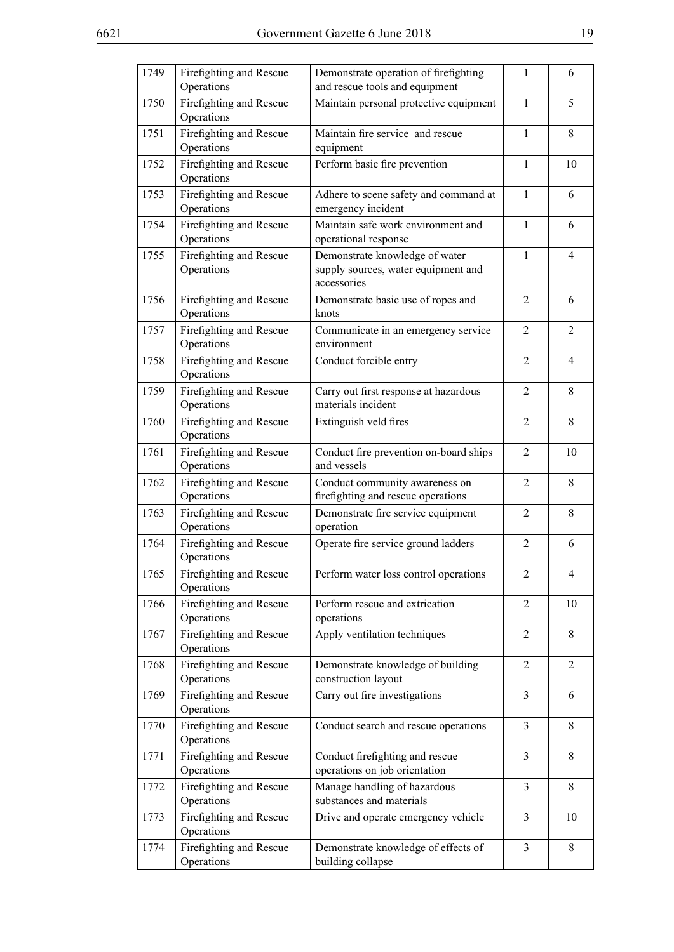|   | ۰,               |
|---|------------------|
| ш | ×<br>I<br>I<br>٠ |
|   | ۰.<br>۰,         |

| 1749 | Firefighting and Rescue<br>Operations | Demonstrate operation of firefighting<br>and rescue tools and equipment              | $\mathbf{1}$   | 6              |
|------|---------------------------------------|--------------------------------------------------------------------------------------|----------------|----------------|
| 1750 | Firefighting and Rescue<br>Operations | Maintain personal protective equipment                                               | $\mathbf{1}$   | 5              |
| 1751 | Firefighting and Rescue<br>Operations | Maintain fire service and rescue<br>equipment                                        | $\mathbf{1}$   | 8              |
| 1752 | Firefighting and Rescue<br>Operations | Perform basic fire prevention                                                        | $\mathbf{1}$   | 10             |
| 1753 | Firefighting and Rescue<br>Operations | Adhere to scene safety and command at<br>emergency incident                          | $\mathbf{1}$   | 6              |
| 1754 | Firefighting and Rescue<br>Operations | Maintain safe work environment and<br>operational response                           | 1              | 6              |
| 1755 | Firefighting and Rescue<br>Operations | Demonstrate knowledge of water<br>supply sources, water equipment and<br>accessories | $\mathbf{1}$   | $\overline{4}$ |
| 1756 | Firefighting and Rescue<br>Operations | Demonstrate basic use of ropes and<br>knots                                          | 2              | 6              |
| 1757 | Firefighting and Rescue<br>Operations | Communicate in an emergency service<br>environment                                   | $\overline{2}$ | $\overline{c}$ |
| 1758 | Firefighting and Rescue<br>Operations | Conduct forcible entry                                                               | 2              | 4              |
| 1759 | Firefighting and Rescue<br>Operations | Carry out first response at hazardous<br>materials incident                          | $\overline{2}$ | 8              |
| 1760 | Firefighting and Rescue<br>Operations | Extinguish veld fires                                                                | $\overline{2}$ | 8              |
| 1761 | Firefighting and Rescue<br>Operations | Conduct fire prevention on-board ships<br>and vessels                                | $\overline{2}$ | 10             |
| 1762 | Firefighting and Rescue<br>Operations | Conduct community awareness on<br>firefighting and rescue operations                 | $\overline{2}$ | 8              |
| 1763 | Firefighting and Rescue<br>Operations | Demonstrate fire service equipment<br>operation                                      | $\overline{2}$ | 8              |
| 1764 | Firefighting and Rescue<br>Operations | Operate fire service ground ladders                                                  | $\overline{2}$ | 6              |
| 1765 | Firefighting and Rescue<br>Operations | Perform water loss control operations                                                | 2              | $\overline{4}$ |
| 1766 | Firefighting and Rescue<br>Operations | Perform rescue and extrication<br>operations                                         | $\overline{2}$ | 10             |
| 1767 | Firefighting and Rescue<br>Operations | Apply ventilation techniques                                                         | $\overline{2}$ | 8              |
| 1768 | Firefighting and Rescue<br>Operations | Demonstrate knowledge of building<br>construction layout                             | $\overline{2}$ | $\overline{2}$ |
| 1769 | Firefighting and Rescue<br>Operations | Carry out fire investigations                                                        | 3              | 6              |
| 1770 | Firefighting and Rescue<br>Operations | Conduct search and rescue operations                                                 | 3              | 8              |
| 1771 | Firefighting and Rescue<br>Operations | Conduct firefighting and rescue<br>operations on job orientation                     | $\overline{3}$ | 8              |
| 1772 | Firefighting and Rescue<br>Operations | Manage handling of hazardous<br>substances and materials                             | $\overline{3}$ | $8\,$          |
| 1773 | Firefighting and Rescue<br>Operations | Drive and operate emergency vehicle                                                  | $\overline{3}$ | 10             |
| 1774 | Firefighting and Rescue<br>Operations | Demonstrate knowledge of effects of<br>building collapse                             | $\overline{3}$ | 8              |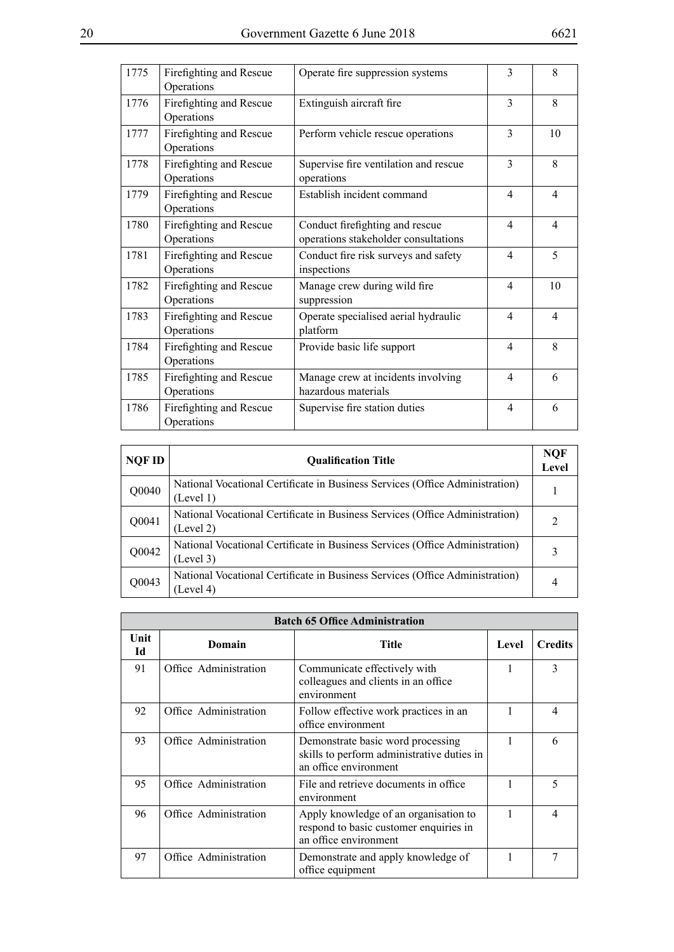| 1775 | Firefighting and Rescue<br>Operations | Operate fire suppression systems                                        | 3              | 8              |
|------|---------------------------------------|-------------------------------------------------------------------------|----------------|----------------|
| 1776 | Firefighting and Rescue<br>Operations | Extinguish aircraft fire                                                | $\mathcal{E}$  | 8              |
| 1777 | Firefighting and Rescue<br>Operations | Perform vehicle rescue operations                                       | 3              | 10             |
| 1778 | Firefighting and Rescue<br>Operations | Supervise fire ventilation and rescue<br>operations                     | 3              | 8              |
| 1779 | Firefighting and Rescue<br>Operations | Establish incident command                                              | $\overline{4}$ | $\overline{4}$ |
| 1780 | Firefighting and Rescue<br>Operations | Conduct firefighting and rescue<br>operations stakeholder consultations | 4              | $\overline{4}$ |
| 1781 | Firefighting and Rescue<br>Operations | Conduct fire risk surveys and safety<br>inspections                     | $\overline{4}$ | 5              |
| 1782 | Firefighting and Rescue<br>Operations | Manage crew during wild fire<br>suppression                             | 4              | 10             |
| 1783 | Firefighting and Rescue<br>Operations | Operate specialised aerial hydraulic<br>platform                        | 4              | $\overline{4}$ |
| 1784 | Firefighting and Rescue<br>Operations | Provide basic life support                                              | 4              | 8              |
| 1785 | Firefighting and Rescue<br>Operations | Manage crew at incidents involving<br>hazardous materials               | 4              | 6              |
| 1786 | Firefighting and Rescue<br>Operations | Supervise fire station duties                                           | 4              | 6              |

| NOF ID | <b>Oualification Title</b>                                                                | <b>NQF</b><br>Level |
|--------|-------------------------------------------------------------------------------------------|---------------------|
| Q0040  | National Vocational Certificate in Business Services (Office Administration)<br>(Level 1) |                     |
| Q0041  | National Vocational Certificate in Business Services (Office Administration)<br>(Level 2) |                     |
| Q0042  | National Vocational Certificate in Business Services (Office Administration)<br>(Level 3) |                     |
| Q0043  | National Vocational Certificate in Business Services (Office Administration)<br>(Level 4) | 4                   |

|            |                       | <b>Batch 65 Office Administration</b>                                                                    |       |                |
|------------|-----------------------|----------------------------------------------------------------------------------------------------------|-------|----------------|
| Unit<br>Id | Domain                | <b>Title</b>                                                                                             | Level | <b>Credits</b> |
| 91         | Office Administration | Communicate effectively with<br>colleagues and clients in an office<br>environment                       | 1     | $\mathcal{E}$  |
| 92         | Office Administration | Follow effective work practices in an<br>office environment                                              |       | 4              |
| 93         | Office Administration | Demonstrate basic word processing<br>skills to perform administrative duties in<br>an office environment | 1     | 6              |
| 95         | Office Administration | File and retrieve documents in office<br>environment                                                     |       | 5              |
| 96         | Office Administration | Apply knowledge of an organisation to<br>respond to basic customer enquiries in<br>an office environment | 1     | Δ              |
| 97         | Office Administration | Demonstrate and apply knowledge of<br>office equipment                                                   | 1     | 7              |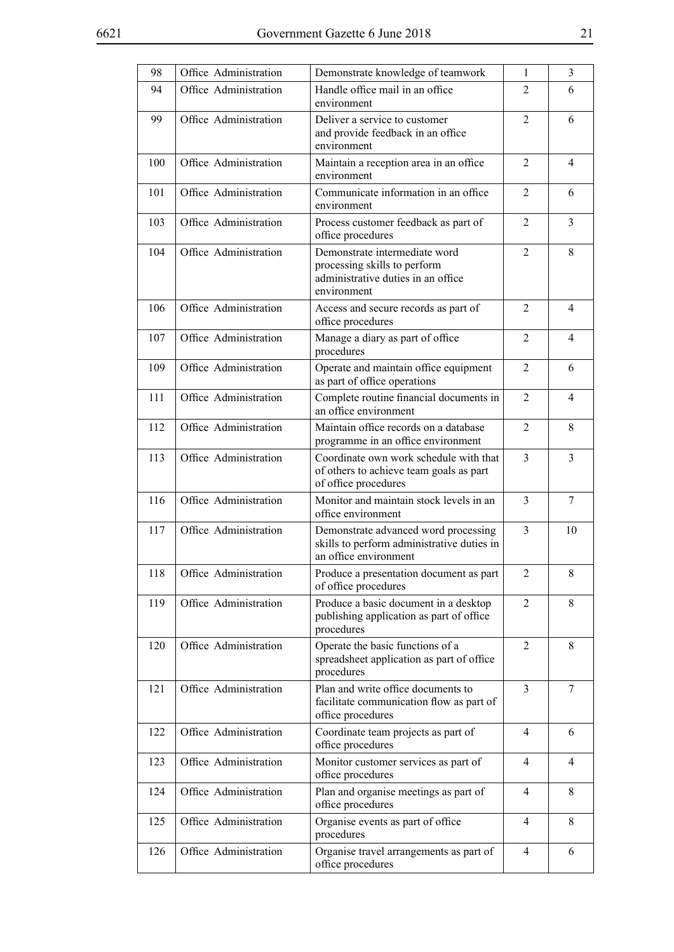| 98  | Office Administration | Demonstrate knowledge of teamwork                                                                                  | $\mathbf{1}$   | $\overline{3}$ |
|-----|-----------------------|--------------------------------------------------------------------------------------------------------------------|----------------|----------------|
| 94  | Office Administration | Handle office mail in an office<br>environment                                                                     | 2              | 6              |
| 99  | Office Administration | Deliver a service to customer<br>and provide feedback in an office<br>environment                                  | 2              | 6              |
| 100 | Office Administration | Maintain a reception area in an office<br>environment                                                              | 2              | $\overline{4}$ |
| 101 | Office Administration | Communicate information in an office<br>environment                                                                | 2              | 6              |
| 103 | Office Administration | Process customer feedback as part of<br>office procedures                                                          | 2              | 3              |
| 104 | Office Administration | Demonstrate intermediate word<br>processing skills to perform<br>administrative duties in an office<br>environment | $\overline{2}$ | 8              |
| 106 | Office Administration | Access and secure records as part of<br>office procedures                                                          | $\overline{2}$ | $\overline{4}$ |
| 107 | Office Administration | Manage a diary as part of office<br>procedures                                                                     | $\overline{2}$ | 4              |
| 109 | Office Administration | Operate and maintain office equipment<br>as part of office operations                                              | 2              | 6              |
| 111 | Office Administration | Complete routine financial documents in<br>an office environment                                                   | $\overline{2}$ | 4              |
| 112 | Office Administration | Maintain office records on a database<br>programme in an office environment                                        | $\overline{2}$ | 8              |
| 113 | Office Administration | Coordinate own work schedule with that<br>of others to achieve team goals as part<br>of office procedures          | 3              | 3              |
| 116 | Office Administration | Monitor and maintain stock levels in an<br>office environment                                                      | 3              | $\overline{7}$ |
| 117 | Office Administration | Demonstrate advanced word processing<br>skills to perform administrative duties in<br>an office environment        | $\overline{3}$ | 10             |
| 118 | Office Administration | Produce a presentation document as part<br>of office procedures                                                    | $\overline{2}$ | 8              |
| 119 | Office Administration | Produce a basic document in a desktop<br>publishing application as part of office<br>procedures                    | $\overline{2}$ | 8              |
| 120 | Office Administration | Operate the basic functions of a<br>spreadsheet application as part of office<br>procedures                        | 2              | 8              |
| 121 | Office Administration | Plan and write office documents to<br>facilitate communication flow as part of<br>office procedures                | 3              | 7              |
| 122 | Office Administration | Coordinate team projects as part of<br>office procedures                                                           | 4              | 6              |
| 123 | Office Administration | Monitor customer services as part of<br>office procedures                                                          | 4              | 4              |
| 124 | Office Administration | Plan and organise meetings as part of<br>office procedures                                                         | 4              | 8              |
| 125 | Office Administration | Organise events as part of office<br>procedures                                                                    | 4              | 8              |
| 126 | Office Administration | Organise travel arrangements as part of<br>office procedures                                                       | 4              | 6              |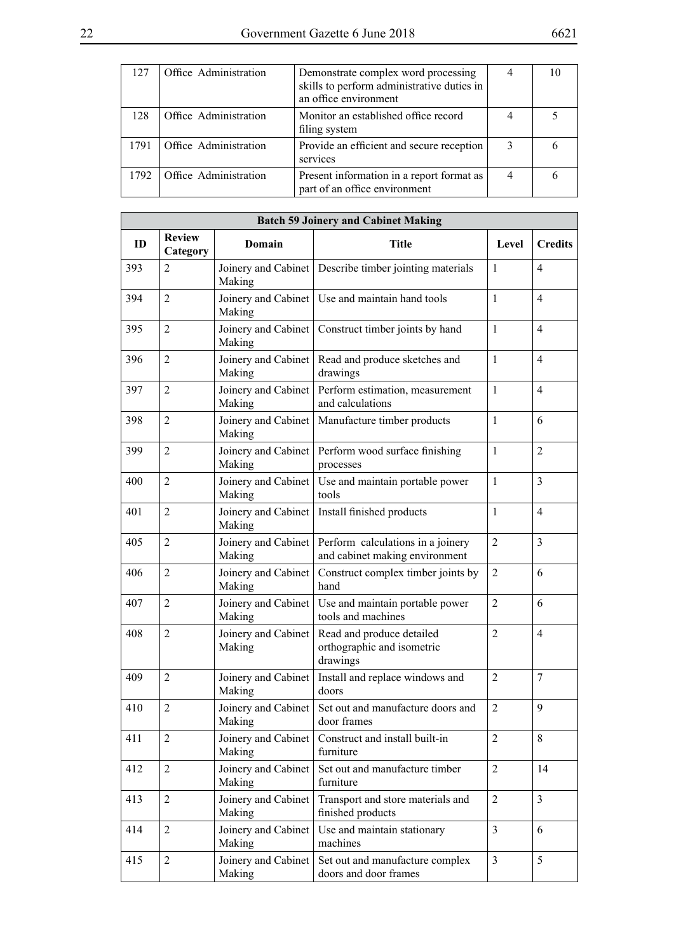| 127  | Office Administration | Demonstrate complex word processing<br>skills to perform administrative duties in<br>an office environment |   |  |
|------|-----------------------|------------------------------------------------------------------------------------------------------------|---|--|
| 128  | Office Administration | Monitor an established office record<br>filing system                                                      |   |  |
| 1791 | Office Administration | Provide an efficient and secure reception<br>services                                                      | 3 |  |
| 1792 | Office Administration | Present information in a report format as<br>part of an office environment                                 | 4 |  |

|     |                           |                               | <b>Batch 59 Joinery and Cabinet Making</b>                          |                |                |
|-----|---------------------------|-------------------------------|---------------------------------------------------------------------|----------------|----------------|
| ID  | <b>Review</b><br>Category | Domain                        | <b>Title</b>                                                        | Level          | <b>Credits</b> |
| 393 | $\overline{2}$            | Making                        | Joinery and Cabinet   Describe timber jointing materials            | $\mathbf{1}$   | $\overline{4}$ |
| 394 | $\overline{2}$            | Making                        | Joinery and Cabinet   Use and maintain hand tools                   | $\mathbf{1}$   | $\overline{4}$ |
| 395 | $\overline{2}$            | Joinery and Cabinet<br>Making | Construct timber joints by hand                                     | $\mathbf{1}$   | $\overline{4}$ |
| 396 | $\overline{2}$            | Joinery and Cabinet<br>Making | Read and produce sketches and<br>drawings                           | $\mathbf{1}$   | $\overline{4}$ |
| 397 | $\overline{2}$            | Joinery and Cabinet<br>Making | Perform estimation, measurement<br>and calculations                 | $\mathbf{1}$   | $\overline{4}$ |
| 398 | $\overline{2}$            | Joinery and Cabinet<br>Making | Manufacture timber products                                         | 1              | 6              |
| 399 | $\overline{2}$            | Joinery and Cabinet<br>Making | Perform wood surface finishing<br>processes                         | $\mathbf{1}$   | $\overline{2}$ |
| 400 | $\overline{2}$            | Joinery and Cabinet<br>Making | Use and maintain portable power<br>tools                            | $\mathbf{1}$   | 3              |
| 401 | $\overline{2}$            | Joinery and Cabinet<br>Making | Install finished products                                           | $\mathbf{1}$   | $\overline{4}$ |
| 405 | $\overline{2}$            | Joinery and Cabinet<br>Making | Perform calculations in a joinery<br>and cabinet making environment | $\overline{2}$ | 3              |
| 406 | $\overline{2}$            | Joinery and Cabinet<br>Making | Construct complex timber joints by<br>hand                          | $\overline{2}$ | 6              |
| 407 | $\overline{2}$            | Joinery and Cabinet<br>Making | Use and maintain portable power<br>tools and machines               | $\overline{2}$ | 6              |
| 408 | $\overline{2}$            | Joinery and Cabinet<br>Making | Read and produce detailed<br>orthographic and isometric<br>drawings | $\overline{2}$ | $\overline{4}$ |
| 409 | $\overline{2}$            | Joinery and Cabinet<br>Making | Install and replace windows and<br>doors                            | $\overline{2}$ | $\overline{7}$ |
| 410 | $\overline{2}$            | Joinery and Cabinet<br>Making | Set out and manufacture doors and<br>door frames                    | $\overline{2}$ | 9              |
| 411 | $\overline{2}$            | Joinery and Cabinet<br>Making | Construct and install built-in<br>furniture                         | $\overline{2}$ | 8              |
| 412 | $\overline{2}$            | Joinery and Cabinet<br>Making | Set out and manufacture timber<br>furniture                         | $\overline{2}$ | 14             |
| 413 | $\overline{2}$            | Joinery and Cabinet<br>Making | Transport and store materials and<br>finished products              | $\overline{2}$ | 3              |
| 414 | $\overline{2}$            | Joinery and Cabinet<br>Making | Use and maintain stationary<br>machines                             | 3              | 6              |
| 415 | $\mathfrak{2}$            | Joinery and Cabinet<br>Making | Set out and manufacture complex<br>doors and door frames            | $\overline{3}$ | 5              |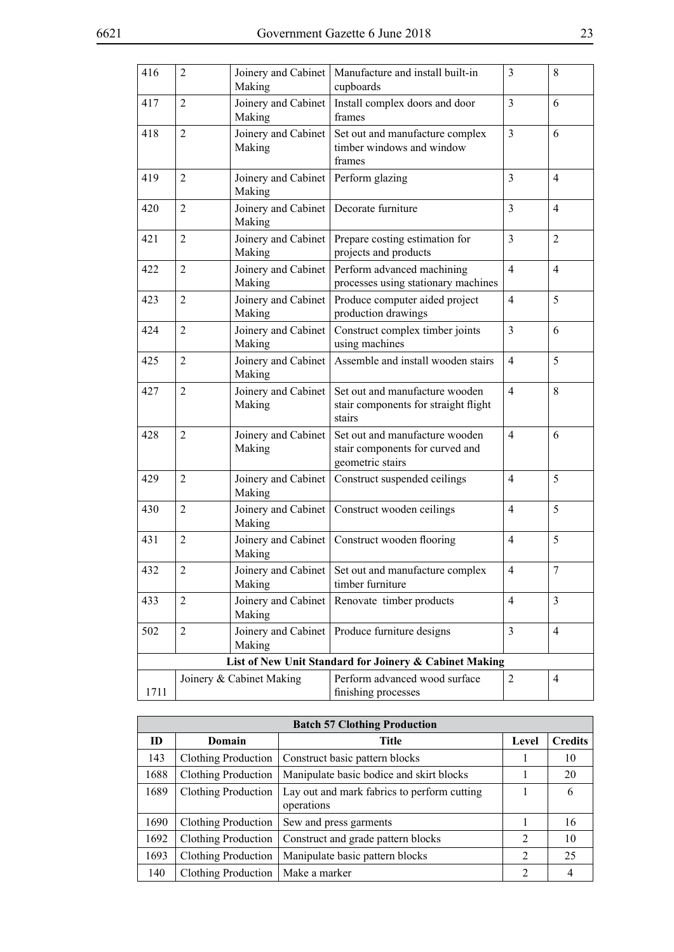F

| 416  | 2              | Joinery and Cabinet<br>Making                      | Manufacture and install built-in<br>cupboards                                         | 3              | 8              |
|------|----------------|----------------------------------------------------|---------------------------------------------------------------------------------------|----------------|----------------|
| 417  | $\overline{2}$ | Joinery and Cabinet<br>Making                      | Install complex doors and door<br>frames                                              | $\overline{3}$ | 6              |
| 418  | $\overline{2}$ | Joinery and Cabinet<br>Making                      | Set out and manufacture complex<br>timber windows and window<br>frames                | $\overline{3}$ | 6              |
| 419  | $\overline{2}$ | Joinery and Cabinet<br>Making                      | Perform glazing                                                                       | 3              | $\overline{4}$ |
| 420  | $\overline{2}$ | Joinery and Cabinet   Decorate furniture<br>Making |                                                                                       | $\overline{3}$ | $\overline{4}$ |
| 421  | $\overline{2}$ | Joinery and Cabinet<br>Making                      | Prepare costing estimation for<br>projects and products                               | $\overline{3}$ | $\overline{2}$ |
| 422  | $\overline{2}$ | Joinery and Cabinet<br>Making                      | Perform advanced machining<br>processes using stationary machines                     | $\overline{4}$ | $\overline{4}$ |
| 423  | $\overline{2}$ | Joinery and Cabinet<br>Making                      | Produce computer aided project<br>production drawings                                 | $\overline{4}$ | 5              |
| 424  | $\overline{2}$ | Joinery and Cabinet<br>Making                      | Construct complex timber joints<br>using machines                                     | $\overline{3}$ | 6              |
| 425  | $\overline{2}$ | Joinery and Cabinet<br>Making                      | Assemble and install wooden stairs                                                    | $\overline{4}$ | 5              |
| 427  | $\overline{2}$ | Joinery and Cabinet<br>Making                      | Set out and manufacture wooden<br>stair components for straight flight<br>stairs      | 4              | 8              |
| 428  | $\overline{2}$ | Joinery and Cabinet<br>Making                      | Set out and manufacture wooden<br>stair components for curved and<br>geometric stairs | 4              | 6              |
| 429  | $\overline{2}$ | Joinery and Cabinet<br>Making                      | Construct suspended ceilings                                                          | $\overline{4}$ | 5              |
| 430  | $\overline{2}$ | Joinery and Cabinet<br>Making                      | Construct wooden ceilings                                                             | 4              | 5              |
| 431  | $\overline{2}$ | Making                                             | Joinery and Cabinet   Construct wooden flooring                                       | $\overline{4}$ | 5              |
| 432  | $\overline{2}$ | Making                                             | Joinery and Cabinet   Set out and manufacture complex<br>timber furniture             | $\overline{4}$ | $\overline{7}$ |
| 433  | $\overline{2}$ | Joinery and Cabinet<br>Making                      | Renovate timber products                                                              | $\overline{4}$ | 3              |
| 502  | $\overline{2}$ | Joinery and Cabinet<br>Making                      | Produce furniture designs                                                             | 3              | $\overline{4}$ |
|      |                |                                                    | List of New Unit Standard for Joinery & Cabinet Making                                |                |                |
| 1711 |                | Joinery & Cabinet Making                           | Perform advanced wood surface<br>finishing processes                                  | $\overline{2}$ | $\overline{4}$ |

|      |                            | <b>Batch 57 Clothing Production</b>                       |                |                |
|------|----------------------------|-----------------------------------------------------------|----------------|----------------|
| ID   | Domain                     | Title                                                     | Level          | <b>Credits</b> |
| 143  | Clothing Production        | Construct basic pattern blocks                            |                | 10             |
| 1688 | Clothing Production        | Manipulate basic bodice and skirt blocks                  |                | 20             |
| 1689 | Clothing Production        | Lay out and mark fabrics to perform cutting<br>operations |                | 6              |
| 1690 | <b>Clothing Production</b> | Sew and press garments                                    |                | 16             |
| 1692 | Clothing Production        | Construct and grade pattern blocks                        | 2              | 10             |
| 1693 | Clothing Production        | Manipulate basic pattern blocks                           | 2              | 25             |
| 140  | Clothing Production        | Make a marker                                             | $\mathfrak{D}$ | 4              |

 $\overline{\phantom{0}}$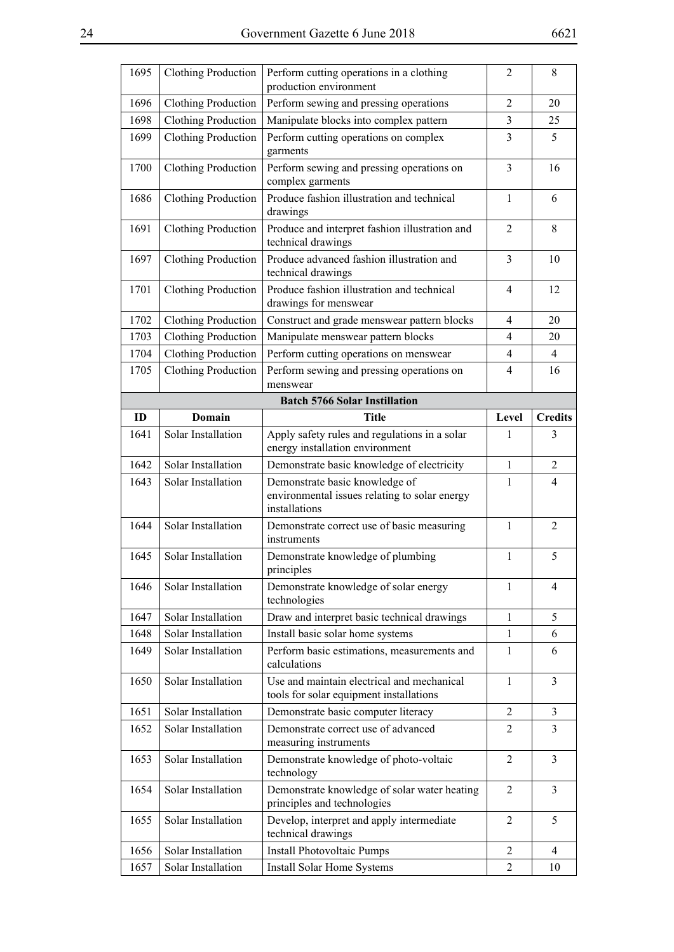| 1695 | <b>Clothing Production</b> | Perform cutting operations in a clothing<br>production environment                               | 2              | 8              |
|------|----------------------------|--------------------------------------------------------------------------------------------------|----------------|----------------|
| 1696 | <b>Clothing Production</b> | Perform sewing and pressing operations                                                           | $\overline{2}$ | 20             |
| 1698 | <b>Clothing Production</b> | Manipulate blocks into complex pattern                                                           | 3              | 25             |
| 1699 | <b>Clothing Production</b> | Perform cutting operations on complex<br>garments                                                | 3              | 5              |
| 1700 | <b>Clothing Production</b> | Perform sewing and pressing operations on<br>complex garments                                    | $\overline{3}$ | 16             |
| 1686 | <b>Clothing Production</b> | Produce fashion illustration and technical<br>drawings                                           | $\mathbf{1}$   | 6              |
| 1691 | <b>Clothing Production</b> | Produce and interpret fashion illustration and<br>technical drawings                             | $\overline{2}$ | 8              |
| 1697 | <b>Clothing Production</b> | Produce advanced fashion illustration and<br>technical drawings                                  | $\overline{3}$ | 10             |
| 1701 | <b>Clothing Production</b> | Produce fashion illustration and technical<br>drawings for menswear                              | 4              | 12             |
| 1702 | <b>Clothing Production</b> | Construct and grade menswear pattern blocks                                                      | 4              | 20             |
| 1703 | <b>Clothing Production</b> | Manipulate menswear pattern blocks                                                               | $\overline{4}$ | 20             |
| 1704 | <b>Clothing Production</b> | Perform cutting operations on menswear                                                           | 4              | $\overline{4}$ |
| 1705 | <b>Clothing Production</b> | Perform sewing and pressing operations on<br>menswear                                            | 4              | 16             |
|      |                            | <b>Batch 5766 Solar Instillation</b>                                                             |                |                |
| ID   | Domain                     | <b>Title</b>                                                                                     | Level          | <b>Credits</b> |
| 1641 | Solar Installation         | Apply safety rules and regulations in a solar<br>energy installation environment                 | 1              | 3              |
| 1642 | Solar Installation         | Demonstrate basic knowledge of electricity                                                       | $\mathbf{1}$   | $\overline{2}$ |
|      |                            |                                                                                                  |                |                |
| 1643 | Solar Installation         | Demonstrate basic knowledge of<br>environmental issues relating to solar energy<br>installations | 1              | $\overline{4}$ |
| 1644 | Solar Installation         | Demonstrate correct use of basic measuring<br>instruments                                        | $\mathbf{1}$   | $\overline{2}$ |
| 1645 | Solar Installation         | Demonstrate knowledge of plumbing<br>principles                                                  | $\mathbf{1}$   | 5              |
| 1646 | Solar Installation         | Demonstrate knowledge of solar energy<br>technologies                                            | $\mathbf{1}$   | 4              |
| 1647 | Solar Installation         | Draw and interpret basic technical drawings                                                      | 1              | 5              |
| 1648 | Solar Installation         | Install basic solar home systems                                                                 | $\mathbf{1}$   | 6              |
| 1649 | Solar Installation         | Perform basic estimations, measurements and<br>calculations                                      | 1              | 6              |
| 1650 | Solar Installation         | Use and maintain electrical and mechanical<br>tools for solar equipment installations            | $\mathbf{1}$   | $\overline{3}$ |
| 1651 | Solar Installation         | Demonstrate basic computer literacy                                                              | 2              | $\mathfrak{Z}$ |
| 1652 | Solar Installation         | Demonstrate correct use of advanced<br>measuring instruments                                     | $\overline{2}$ | $\overline{3}$ |
| 1653 | Solar Installation         | Demonstrate knowledge of photo-voltaic<br>technology                                             | $\overline{2}$ | $\overline{3}$ |
| 1654 | Solar Installation         | Demonstrate knowledge of solar water heating<br>principles and technologies                      | $\overline{2}$ | $\overline{3}$ |
| 1655 | Solar Installation         | Develop, interpret and apply intermediate<br>technical drawings                                  | 2              | 5              |
| 1656 | Solar Installation         | <b>Install Photovoltaic Pumps</b>                                                                | $\overline{2}$ | $\overline{4}$ |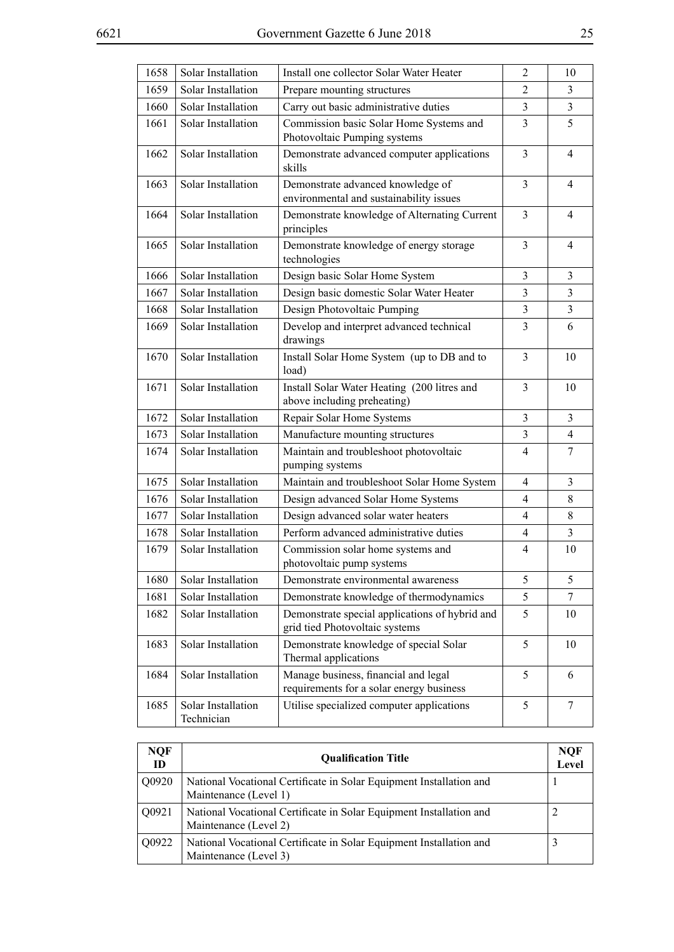| 1658 | Solar Installation               | Install one collector Solar Water Heater                                         | $\overline{2}$           | 10             |
|------|----------------------------------|----------------------------------------------------------------------------------|--------------------------|----------------|
| 1659 | Solar Installation               | Prepare mounting structures                                                      | 2                        | 3              |
| 1660 | Solar Installation               | Carry out basic administrative duties                                            | 3                        | $\mathfrak{Z}$ |
| 1661 | Solar Installation               | Commission basic Solar Home Systems and<br>Photovoltaic Pumping systems          | 3                        | 5              |
| 1662 | Solar Installation               | Demonstrate advanced computer applications<br>skills                             | 3                        | $\overline{4}$ |
| 1663 | Solar Installation               | Demonstrate advanced knowledge of<br>environmental and sustainability issues     | 3                        | $\overline{4}$ |
| 1664 | Solar Installation               | Demonstrate knowledge of Alternating Current<br>principles                       | 3                        | $\overline{4}$ |
| 1665 | Solar Installation               | Demonstrate knowledge of energy storage<br>technologies                          | 3                        | $\overline{4}$ |
| 1666 | Solar Installation               | Design basic Solar Home System                                                   | $\overline{3}$           | $\overline{3}$ |
| 1667 | Solar Installation               | Design basic domestic Solar Water Heater                                         | 3                        | $\mathfrak{Z}$ |
| 1668 | Solar Installation               | Design Photovoltaic Pumping                                                      | 3                        | $\mathfrak{Z}$ |
| 1669 | Solar Installation               | Develop and interpret advanced technical<br>drawings                             | 3                        | 6              |
| 1670 | Solar Installation               | Install Solar Home System (up to DB and to<br>load)                              | 3                        | 10             |
| 1671 | Solar Installation               | Install Solar Water Heating (200 litres and<br>above including preheating)       | 3                        | 10             |
| 1672 | Solar Installation               | Repair Solar Home Systems                                                        | 3                        | $\overline{3}$ |
| 1673 | Solar Installation               | Manufacture mounting structures                                                  | 3                        | $\overline{4}$ |
| 1674 | Solar Installation               | Maintain and troubleshoot photovoltaic<br>pumping systems                        | 4                        | 7              |
| 1675 | Solar Installation               | Maintain and troubleshoot Solar Home System                                      | $\overline{4}$           | $\overline{3}$ |
| 1676 | Solar Installation               | Design advanced Solar Home Systems                                               | $\overline{4}$           | 8              |
| 1677 | Solar Installation               | Design advanced solar water heaters                                              | $\overline{4}$           | 8              |
| 1678 | Solar Installation               | Perform advanced administrative duties                                           | $\overline{4}$           | $\overline{3}$ |
| 1679 | Solar Installation               | Commission solar home systems and<br>photovoltaic pump systems                   | $\overline{\mathcal{A}}$ | 10             |
| 1680 | Solar Installation               | Demonstrate environmental awareness                                              | 5                        | 5              |
| 1681 | Solar Installation               | Demonstrate knowledge of thermodynamics                                          | 5                        | $\tau$         |
| 1682 | Solar Installation               | Demonstrate special applications of hybrid and<br>grid tied Photovoltaic systems | 5                        | 10             |
| 1683 | Solar Installation               | Demonstrate knowledge of special Solar<br>Thermal applications                   | 5                        | 10             |
| 1684 | Solar Installation               | Manage business, financial and legal<br>requirements for a solar energy business | 5                        | 6              |
| 1685 | Solar Installation<br>Technician | Utilise specialized computer applications                                        | 5                        | $\overline{7}$ |

| <b>NQF</b><br>ID | <b>Oualification Title</b>                                                                   | <b>NQF</b><br>Level |
|------------------|----------------------------------------------------------------------------------------------|---------------------|
| Q0920            | National Vocational Certificate in Solar Equipment Installation and<br>Maintenance (Level 1) |                     |
| Q0921            | National Vocational Certificate in Solar Equipment Installation and<br>Maintenance (Level 2) |                     |
| Q0922            | National Vocational Certificate in Solar Equipment Installation and<br>Maintenance (Level 3) |                     |